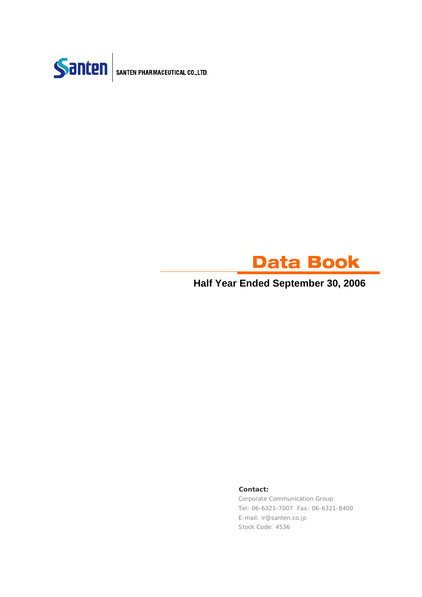



### **Half Year Ended September 30, 2006**

#### **Contact:**

Corporate Communication Group Tel: 06-6321-7007 Fax: 06-6321-8400 E-mail: ir@santen.co.jp Stock Code: 4536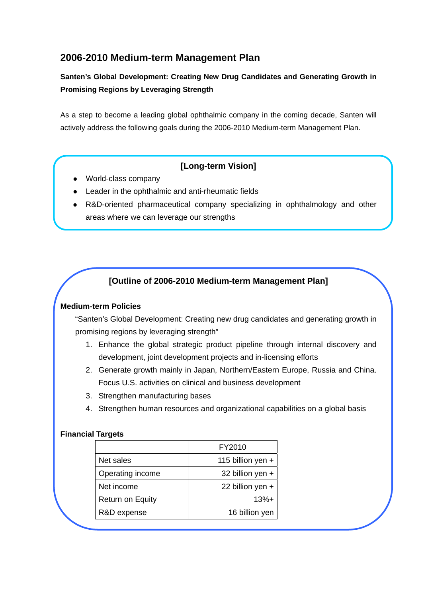### **2006-2010 Medium-term Management Plan**

### **Santen's Global Development: Creating New Drug Candidates and Generating Growth in Promising Regions by Leveraging Strength**

As a step to become a leading global ophthalmic company in the coming decade, Santen will actively address the following goals during the 2006-2010 Medium-term Management Plan.

### **[Long-term Vision]**

- World-class company
- Leader in the ophthalmic and anti-rheumatic fields
- R&D-oriented pharmaceutical company specializing in ophthalmology and other areas where we can leverage our strengths

### **[Outline of 2006-2010 Medium-term Management Plan]**

### **Medium-term Policies**

"Santen's Global Development: Creating new drug candidates and generating growth in promising regions by leveraging strength"

- 1. Enhance the global strategic product pipeline through internal discovery and development, joint development projects and in-licensing efforts
- 2. Generate growth mainly in Japan, Northern/Eastern Europe, Russia and China. Focus U.S. activities on clinical and business development
- 3. Strengthen manufacturing bases
- 4. Strengthen human resources and organizational capabilities on a global basis

### **Financial Targets**

| 115 billion yen + |
|-------------------|
|                   |
| 32 billion yen +  |
| 22 billion yen +  |
| $13%+$            |
| 16 billion yen    |
|                   |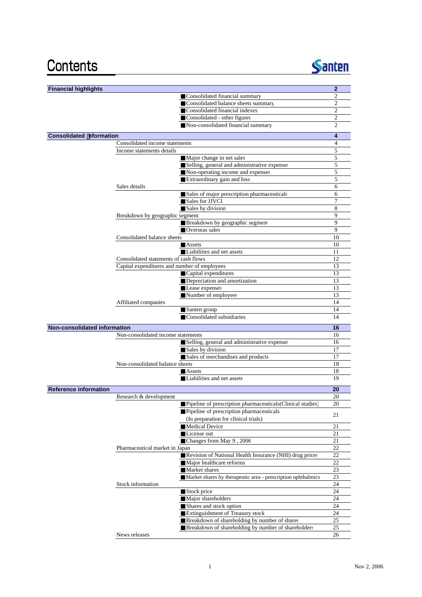## Contents



| <b>Financial highlights</b>    |                                              |                                                              | $\mathbf{2}$   |
|--------------------------------|----------------------------------------------|--------------------------------------------------------------|----------------|
|                                |                                              | Consolidated financial summary                               | 2              |
|                                |                                              | Consolidated balance sheets summary                          | $\overline{2}$ |
|                                |                                              | Consolidated financial indexes                               | 2              |
|                                |                                              | Consolidated - other figures                                 | $\overline{2}$ |
|                                |                                              | Non-consolidated financial summary                           | $\overline{c}$ |
| <b>Consolidated nformation</b> |                                              |                                                              | 4              |
|                                | Consolidated income statements               |                                                              | 4              |
|                                | Income statements details                    |                                                              | 5              |
|                                |                                              | Major change in net sales                                    | 5              |
|                                |                                              | Selling, general and administrative expenses                 | 5              |
|                                |                                              | Non-operating income and expenses                            | 5              |
|                                |                                              | Extraordinary gain and loss                                  | 5              |
|                                | Sales details                                |                                                              | 6              |
|                                |                                              | Sales of major prescription pharmaceuticals                  | 6              |
|                                |                                              | Sales for JJVCI                                              | 7              |
|                                |                                              | Sales by division                                            | 8              |
|                                | Breakdown by geographic segment              |                                                              | 9              |
|                                |                                              | Breakdown by geographic segment                              | 9              |
|                                |                                              | Overseas sales                                               | 9              |
|                                | Consolidated balance sheets                  |                                                              | 10             |
|                                |                                              | Assets                                                       | 10             |
|                                |                                              | Liabilities and net assets                                   | 11             |
|                                | Consolidated statements of cash flows        |                                                              | 12             |
|                                | Capital expenditures and number of employees |                                                              | 13             |
|                                |                                              | Capital expenditures                                         | 13             |
|                                |                                              | Depreciation and amortization                                | 13             |
|                                |                                              | Lease expenses                                               | 13             |
|                                |                                              | Number of employees                                          | 13             |
|                                | Affiliated companies                         |                                                              | 14             |
|                                |                                              | Santen group                                                 | 14             |
|                                |                                              | Consolidated subsidiaries                                    | 14             |
| Non-consolidated information   |                                              |                                                              | 16             |
|                                | Non-consolidated income statements           |                                                              | 16             |
|                                |                                              | Selling, general and administrative expenses                 | 16             |
|                                |                                              | Sales by division                                            | 17             |
|                                |                                              | Sales of merchandises and products                           | 17             |
|                                | Non-consolidated balance sheets              |                                                              | 18             |
|                                |                                              | Assets                                                       | 18             |
|                                |                                              | Liabilities and net assets                                   | 19             |
| <b>Reference information</b>   |                                              |                                                              | 20             |
|                                | Research & development                       |                                                              | 20             |
|                                |                                              | Pipeline of prescription pharmaceuticals (Clinical studies)  | 20             |
|                                |                                              | Pipeline of prescription pharmaceuticals                     | 21             |
|                                |                                              | (In preparation for clinical trials)                         |                |
|                                |                                              | <b>Medical Device</b>                                        | 21             |
|                                |                                              | License out                                                  | 21             |
|                                |                                              | Changes from May 9, 2006                                     | 21             |
|                                | Pharmaceutical market in Japan               |                                                              | 22             |
|                                |                                              | Revision of National Health Insurance (NHI) drug prices      | 22             |
|                                |                                              | Major healthcare reforms                                     | 22             |
|                                |                                              | Market shares                                                | 23             |
|                                |                                              | Market shares by therapeutic area - prescription ophthalmics | 23             |
|                                | Stock information                            |                                                              | 24             |
|                                |                                              | Stock price                                                  | 24<br>24       |
|                                |                                              | Major shareholders                                           |                |
|                                |                                              | Shares and stock option                                      | 24             |
|                                |                                              | Extinguishment of Treasury stock                             | 24             |
|                                |                                              | Breakdown of shareholding by number of shares                | 25<br>25       |
|                                | News releases                                | Breakdown of shareholding by number of shareholders          | 26             |
|                                |                                              |                                                              |                |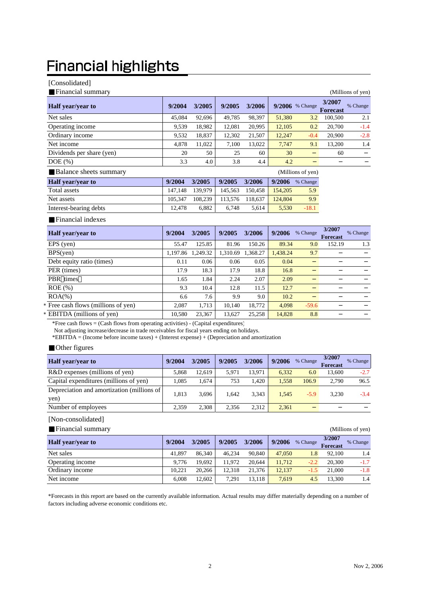## **Financial highlights**

| [Consolidated]            |         |         |         |         |         |                   |                           |                   |
|---------------------------|---------|---------|---------|---------|---------|-------------------|---------------------------|-------------------|
| Financial summary         |         |         |         |         |         |                   |                           | (Millions of yen) |
| <b>Half</b> year/year to  | 9/2004  | 3/2005  | 9/2005  | 3/2006  |         | 9/2006 % Change   | 3/2007<br><b>Forecast</b> | % Change          |
| Net sales                 | 45.084  | 92,696  | 49,785  | 98,397  | 51,380  | 3.2               | 100,500                   | 2.1               |
| Operating income          | 9,539   | 18,982  | 12,081  | 20,995  | 12,105  | 0.2               | 20,700                    | $-1.4$            |
| Ordinary income           | 9,532   | 18,837  | 12,302  | 21,507  | 12,247  | $-0.4$            | 20,900                    | $-2.8$            |
| Net income                | 4,878   | 11,022  | 7,100   | 13,022  | 7,747   | 9.1               | 13,200                    | 1.4               |
| Dividends per share (yen) | 20      | 50      | 25      | 60      | 30      |                   | 60                        |                   |
| $DOE$ $(\%)$              | 3.3     | 4.0     | 3.8     | 4.4     | 4.2     |                   |                           |                   |
| Balance sheets summary    |         |         |         |         |         | (Millions of yen) |                           |                   |
| <b>Half</b> year/year to  | 9/2004  | 3/2005  | 9/2005  | 3/2006  | 9/2006  | % Change          |                           |                   |
| Total assets              | 147,148 | 139,979 | 145,563 | 150,458 | 154,205 | 5.9               |                           |                   |
| Net assets                | 105,347 | 108,239 | 113,576 | 118,637 | 124,804 | 9.9               |                           |                   |
| Interest-bearing debts    | 12,478  | 6,882   | 6,748   | 5,614   | 5,530   | $-18.1$           |                           |                   |
|                           |         |         |         |         |         |                   |                           |                   |

Financial indexes

| <b>Half</b> year/year to            | 9/2004 | 3/2005            | 9/2005   | 3/2006   | 9/2006   | % Change | 3/2007<br><b>Forecast</b> | % Change |
|-------------------------------------|--------|-------------------|----------|----------|----------|----------|---------------------------|----------|
| EPS (yen)                           | 55.47  | 125.85            | 81.96    | 150.26   | 89.34    | 9.0      | 152.19                    | 1.3      |
| $BPS($ yen $)$                      |        | 1,197.86 1,249.32 | 1,310.69 | 1,368.27 | 1,438.24 | 9.7      |                           |          |
| Debt equity ratio (times)           | 0.11   | 0.06              | 0.06     | 0.05     | 0.04     |          |                           |          |
| PER (times)                         | 17.9   | 18.3              | 17.9     | 18.8     | 16.8     |          |                           |          |
| PBR times                           | 1.65   | 1.84              | 2.24     | 2.07     | 2.09     |          |                           |          |
| $ROE$ (%)                           | 9.3    | 10.4              | 12.8     | 11.5     | 12.7     |          |                           |          |
| $ROA(\%)$                           | 6.6    | 7.6               | 9.9      | 9.0      | 10.2     |          |                           |          |
| * Free cash flows (millions of yen) | 2.087  | 1,713             | 10.140   | 18,772   | 4.098    | $-59.6$  |                           |          |
| * EBITDA (millions of yen)          | 10.580 | 23,367            | 13.627   | 25,258   | 14,828   | 8.8      |                           |          |

\*Free cash flows = (Cash flows from operating activities) - (Capital expenditures)

Not adjusting increase/decrease in trade receivables for fiscal years ending on holidays.

\*EBITDA = (Income before income taxes) + (Interest expense) + (Depreciation and amortization

Other figures

| <b>Half</b> year/year to                           | 9/2004 | 3/2005 | 9/2005 | 3/2006 | 9/2006 | % Change | 3/2007<br><b>Forecast</b> | % Change |
|----------------------------------------------------|--------|--------|--------|--------|--------|----------|---------------------------|----------|
| R&D expenses (millions of yen)                     | 5.868  | 12.619 | 5.971  | 13.971 | 6.332  | 6.0      | 13,600                    | $-2.7$   |
| Capital expenditures (millions of yen)             | 1.085  | 1.674  | 753    | 1.420  | 1.558  | 106.9    | 2.790                     | 96.5     |
| Depreciation and amortization (millions of<br>yen) | 1.813  | 3.696  | 1.642  | 3.343  | 1.545  | $-5.9$   | 3.230                     | $-3.4$   |
| Number of employees                                | 2.359  | 2,308  | 2,356  | 2,312  | 2,361  |          |                           |          |

[Non-consolidated]

Financial summary (Millions of yen)

| 1 manoni samma           |        |        |        |        |        |          |                           | $\frac{1}{1}$ |
|--------------------------|--------|--------|--------|--------|--------|----------|---------------------------|---------------|
| <b>Half</b> vear/vear to | 9/2004 | 3/2005 | 9/2005 | 3/2006 | 9/2006 | % Change | 3/2007<br><b>Forecast</b> | % Change      |
| Net sales                | 41.897 | 86.340 | 46.234 | 90.840 | 47,050 | 1.8      | 92,100                    | 1.4           |
| Operating income         | 9.776  | 19.692 | 11.972 | 20.644 | 11.712 | $-2.2$   | 20,300                    | $-1.7$        |
| Ordinary income          | 10.221 | 20.266 | 12.318 | 21.376 | 12.137 | $-1.5$   | 21,000                    | $-1.8$        |
| Net income               | 6.008  | 12.602 | 7.291  | 13.118 | 7,619  | 4.5      | 13.300                    | 1.4           |

\*Forecasts in this report are based on the currently available information. Actual results may differ materially depending on a number of factors including adverse economic conditions etc.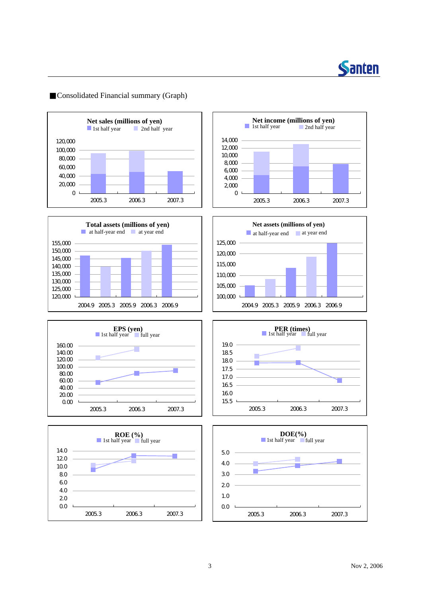

#### Consolidated Financial summary (Graph)















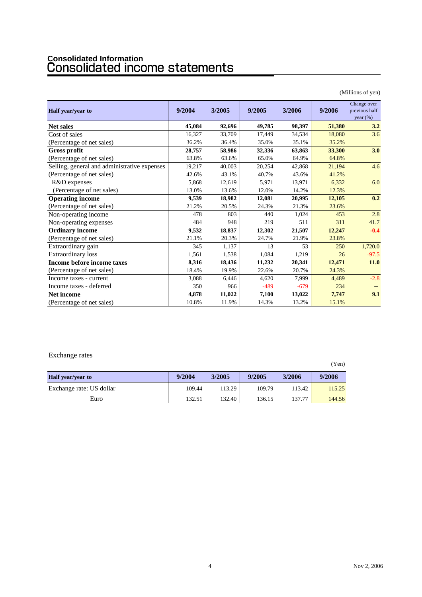# **Consolidated Information**

|                                              |        |        |        |        |        | (Millions of yen)                           |
|----------------------------------------------|--------|--------|--------|--------|--------|---------------------------------------------|
| Half year/year to                            | 9/2004 | 3/2005 | 9/2005 | 3/2006 | 9/2006 | Change over<br>previous half<br>year $(\%)$ |
| <b>Net sales</b>                             | 45,084 | 92,696 | 49,785 | 98,397 | 51,380 | 3.2                                         |
| Cost of sales                                | 16,327 | 33,709 | 17,449 | 34,534 | 18,080 | 3.6                                         |
| (Percentage of net sales)                    | 36.2%  | 36.4%  | 35.0%  | 35.1%  | 35.2%  |                                             |
| <b>Gross profit</b>                          | 28,757 | 58,986 | 32,336 | 63,863 | 33,300 | 3.0                                         |
| (Percentage of net sales)                    | 63.8%  | 63.6%  | 65.0%  | 64.9%  | 64.8%  |                                             |
| Selling, general and administrative expenses | 19,217 | 40,003 | 20,254 | 42,868 | 21,194 | 4.6                                         |
| (Percentage of net sales)                    | 42.6%  | 43.1%  | 40.7%  | 43.6%  | 41.2%  |                                             |
| R&D expenses                                 | 5,868  | 12,619 | 5,971  | 13,971 | 6,332  | 6.0                                         |
| (Percentage of net sales)                    | 13.0%  | 13.6%  | 12.0%  | 14.2%  | 12.3%  |                                             |
| <b>Operating income</b>                      | 9,539  | 18,982 | 12,081 | 20,995 | 12,105 | 0.2                                         |
| (Percentage of net sales)                    | 21.2%  | 20.5%  | 24.3%  | 21.3%  | 23.6%  |                                             |
| Non-operating income                         | 478    | 803    | 440    | 1,024  | 453    | 2.8                                         |
| Non-operating expenses                       | 484    | 948    | 219    | 511    | 311    | 41.7                                        |
| <b>Ordinary income</b>                       | 9,532  | 18,837 | 12,302 | 21,507 | 12,247 | $-0.4$                                      |
| (Percentage of net sales)                    | 21.1%  | 20.3%  | 24.7%  | 21.9%  | 23.8%  |                                             |
| Extraordinary gain                           | 345    | 1,137  | 13     | 53     | 250    | 1,720.0                                     |
| <b>Extraordinary loss</b>                    | 1,561  | 1,538  | 1,084  | 1,219  | 26     | $-97.5$                                     |
| Income before income taxes                   | 8,316  | 18,436 | 11,232 | 20,341 | 12,471 | 11.0                                        |
| (Percentage of net sales)                    | 18.4%  | 19.9%  | 22.6%  | 20.7%  | 24.3%  |                                             |
| Income taxes - current                       | 3,088  | 6,446  | 4,620  | 7,999  | 4,489  | $-2.8$                                      |
| Income taxes - deferred                      | 350    | 966    | $-489$ | $-679$ | 234    |                                             |
| <b>Net income</b>                            | 4,878  | 11,022 | 7,100  | 13,022 | 7,747  | 9.1                                         |
| (Percentage of net sales)                    | 10.8%  | 11.9%  | 14.3%  | 13.2%  | 15.1%  |                                             |

Exchange rates

(Yen)

| <b>Half</b> year/year to | 9/2004 | 3/2005 | 9/2005 | 3/2006 | 9/2006 |
|--------------------------|--------|--------|--------|--------|--------|
| Exchange rate: US dollar | 109.44 | 113.29 | 109.79 | 113.42 | 115.25 |
| Euro                     | 132.51 | 132.40 | 136.15 | 137.77 | 144.56 |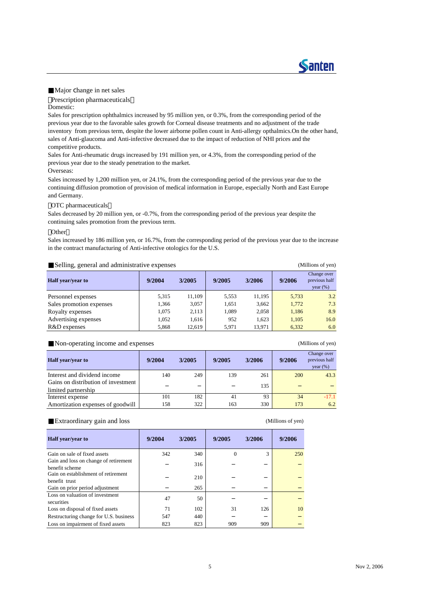

Major change in net sales

Prescription pharmaceuticals

#### Domestic:

Sales for prescription ophthalmics increased by 95 million yen, or 0.3%, from the corresponding period of the previous year due to the favorable sales growth for Corneal disease treatments and no adjustment of the trade inventory from previous term, despite the lower airborne pollen count in Anti-allergy opthalmics.On the other hand, sales of Anti-glaucoma and Anti-infective decreased due to the impact of reduction of NHI prices and the competitive products.

Sales for Anti-rheumatic drugs increased by 191 million yen, or 4.3%, from the corresponding period of the previous year due to the steady penetration to the market.

Overseas:

Sales increased by 1,200 million yen, or 24.1%, from the corresponding period of the previous year due to the continuing diffusion promotion of provision of medical information in Europe, especially North and East Europe and Germany.

#### OTC pharmaceuticals

Sales decreased by 20 million yen, or -0.7%, from the corresponding period of the previous year despite the continuing sales promotion from the previous term.

#### **Other**

Sales increased by 186 million yen, or 16.7%, from the corresponding period of the previous year due to the increase in the contract manufacturing of Anti-infective otologics for the U.S.

| Selling, general and administrative expenses |        | (Millions of yen) |        |        |        |                                             |
|----------------------------------------------|--------|-------------------|--------|--------|--------|---------------------------------------------|
| Half year/year to                            | 9/2004 | 3/2005            | 9/2005 | 3/2006 | 9/2006 | Change over<br>previous half<br>year $(\%)$ |
| Personnel expenses                           | 5,315  | 11,109            | 5,553  | 11,195 | 5,733  | 3.2                                         |
| Sales promotion expenses                     | 1,366  | 3,057             | 1,651  | 3,662  | 1,772  | 7.3                                         |
| Royalty expenses                             | 1.075  | 2,113             | 1.089  | 2,058  | 1,186  | 8.9                                         |
| Advertising expenses                         | 1,052  | 1,616             | 952    | 1,623  | 1,105  | 16.0                                        |
| R&D expenses                                 | 5,868  | 12,619            | 5,971  | 13,971 | 6,332  | 6.0                                         |

#### Non-operating income and expenses (Millions of yen)

| <b>Half</b> year/year to                                            | 9/2004 | 3/2005 | 9/2005 | 3/2006 | 9/2006 | Change over<br>previous half<br>year $(\%)$ |
|---------------------------------------------------------------------|--------|--------|--------|--------|--------|---------------------------------------------|
| Interest and dividend income<br>Gains on distribution of investment | 140    | 249    | 139    | 261    | 200    | 43.3                                        |
| limited partnership                                                 |        |        |        | 135    |        |                                             |
| Interest expense                                                    | 101    | 182    | 41     | 93     | 34     | $-17.1$                                     |
| Amortization expenses of goodwill                                   | 158    | 322    | 163    | 330    | 173    | 6.2                                         |

#### Extraordinary gain and loss (Millions of yen)

| Half year/year to                      | 9/2004 | 3/2005 | 9/2005       | 3/2006 | 9/2006     |
|----------------------------------------|--------|--------|--------------|--------|------------|
| Gain on sale of fixed assets           | 342    | 340    | $\mathbf{0}$ | 3      | <b>250</b> |
| Gain and loss on change of retirement  |        | 316    |              |        |            |
| benefit scheme                         |        |        |              |        |            |
| Gain on establishment of retirement    |        | 210    |              |        |            |
| benefit trust                          |        |        |              |        |            |
| Gain on prior period adjustment        |        | 265    |              |        |            |
| Loss on valuation of investment        | 47     | 50     |              |        |            |
| securities                             |        |        |              |        |            |
| Loss on disposal of fixed assets       | 71     | 102    | 31           | 126    | 10         |
| Restructuring change for U.S. business | 547    | 440    |              |        |            |
| Loss on impairment of fixed assets     | 823    | 823    | 909          | 909    |            |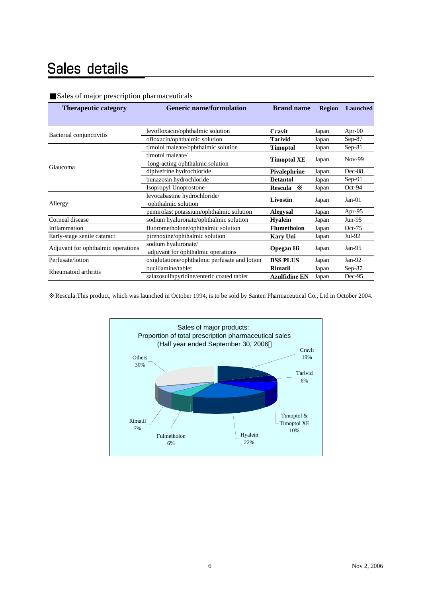## Sales details

|  | Sales of major prescription pharmaceuticals |
|--|---------------------------------------------|
|  |                                             |

| <b>Therapeutic category</b>        | <b>Generic name/formulation</b>                     | <b>Brand name</b>    | <b>Region</b> | <b>Launched</b> |
|------------------------------------|-----------------------------------------------------|----------------------|---------------|-----------------|
|                                    |                                                     |                      |               |                 |
| Bacterial conjunctivitis           | levofloxacin/ophthalmic solution                    | Cravit               | Japan         | Apr- $00$       |
|                                    | ofloxacin/ophthalmic solution                       | <b>Tarivid</b>       | Japan         | Sep-87          |
|                                    | timolol maleate/ophthalmic solution                 | Timoptol             | Japan         | $Sep-81$        |
| Glaucoma                           | timotol maleate/<br>long-acting ophthalmic solution | <b>Timoptol XE</b>   | Japan         | Nov-99          |
|                                    | dipivefrine hydrochloride                           | Pivalephrine         | Japan         | Dec-88          |
|                                    | bunazosin hydrochloride                             | <b>Detantol</b>      | Japan         | $Sep-01$        |
|                                    | Isopropyl Unoprostone                               | <b>Rescula</b>       | Japan         | $Oct-94$        |
|                                    | levocabastine hydrochloride/                        | Livostin             | Japan         | $Jan-01$        |
| Allergy                            | ophthalmic solution                                 |                      |               |                 |
|                                    | pemirolast potassium/ophthalmic solution            | <b>Alegysal</b>      | Japan         | Apr-95          |
| Corneal disease                    | sodium hyaluronate/ophthalmic solution              | <b>Hyalein</b>       | Japan         | $Jun-95$        |
| Inflammation                       | fluorometholone/ophthalmic solution                 | <b>Flumetholon</b>   | Japan         | $Oct-75$        |
| Early-stage senile cataract        | pirenoxine/ophthalmic solution                      | <b>Kary Uni</b>      | Japan         | Jul-92          |
| Adjuvant for ophthalmic operations | sodium hyaluronate/                                 | <b>Opegan Hi</b>     | Japan         | Jan- $95$       |
|                                    | adjuvant for ophthalmic operations                  |                      |               |                 |
| Perfusate/lotion                   | oxiglutatione/ophthalmic perfusate and lotion       | <b>BSS PLUS</b>      | Japan         | $Jan-92$        |
| Rheumatoid arthritis               | bucillamine/tablet                                  | <b>Rimatil</b>       | Japan         | Sep-87          |
|                                    | salazosulfapyridine/enteric coated tablet           | <b>Azulfidine EN</b> | Japan         | Dec-95          |

Rescula:This product, which was launched in October 1994, is to be sold by Santen Pharmaceutical Co., Ltd in October 2004.

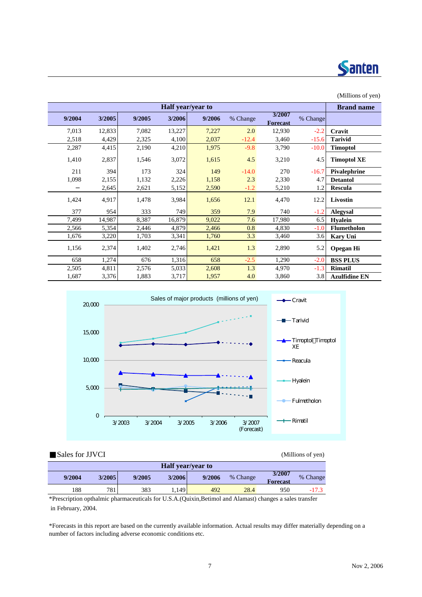

#### (Millions of yen) **Brand name 9/2004 3/2005 9/2005 3/2006 9/2006** % Change **3/2007 Forecast** % Change 7,013 12,833 7,082 13,227 7,227 2.0 12,930 -2.2 **Cravit** 2,518 4,429 2,325 4,100 2,037 -12.4 3,460 -15.6 **Tarivid** 2,287 4,415 2,190 4,210 1,975 -9.8 3,790 -10.0 **Timoptol** 1,410 2,837 1,546 3,072 1,615 4.5 3,210 4.5 **Timoptol XE** 211 394 173 324 149 -14.0 270 -16.7 **Pivalephrine** 1,098 2,155 1,132 2,226 1,158 2.3 2,330 4.7 **Detantol** 2,645 2,621 5,152 2,590 -1.2 5,210 1.2 **Rescula** 1,424 4,917 1,478 3,984 1,656 12.1 4,470 12.2 **Livostin** 377 954 333 749 359 7.9 740 -1.2 **Alegysal** 7,499 14,987 8,387 16,879 9,022 7.6 17,980 6.5 **Hyalein** 2,566 5,354 2,446 4,879 2,466 0.8 4,830 -1.0 **Flumetholon** 1,676 3,220 1,703 3,341 1,760 3.3 3,460 3.6 **Kary Uni** 1,156 2,374 1,402 2,746 1,421 1.3 2,890 5.2 **Opegan Hi** 658 1,274 676 1,316 658 -2.5 1,290 -2.0 **BSS PLUS** 2,505 4,811 2,576 5,033 2,608 1.3 4,970 -1.3 **Rimatil** 1,687 3,376 1,883 3,717 1,957 4.0 3,860 3.8 **Azulfidine EN Half year/year to**



#### Sales for JJVCI (Millions of yen)

**9/2004 3/2005 9/2005 3/2006 9/2006** % Change **3/2007 Forecast** % Change 188 781 383 1,149 492 28.4 950 -17.3 **Half year/year to**

\*Prescription opthalmic pharmaceuticals for U.S.A.(Quixin,Betimol and Alamast) changes a sales transfer in February, 2004.

\*Forecasts in this report are based on the currently available information. Actual results may differ materially depending on a number of factors including adverse economic conditions etc.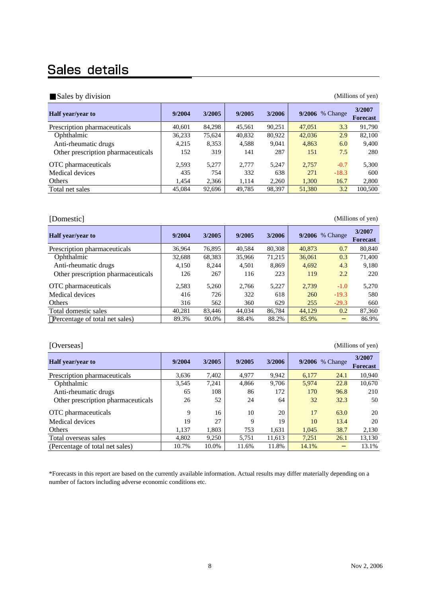## Sales details

| Sales by division                  |        |        |        |        |        |          | (Millions of yen)         |
|------------------------------------|--------|--------|--------|--------|--------|----------|---------------------------|
| <b>Half</b> year/year to           | 9/2004 | 3/2005 | 9/2005 | 3/2006 | 9/2006 | % Change | 3/2007<br><b>Forecast</b> |
| Prescription pharmaceuticals       | 40.601 | 84.298 | 45,561 | 90,251 | 47,051 | 3.3      | 91,790                    |
| Ophthalmic                         | 36,233 | 75,624 | 40,832 | 80,922 | 42,036 | 2.9      | 82,100                    |
| Anti-rheumatic drugs               | 4.215  | 8,353  | 4,588  | 9,041  | 4.863  | 6.0      | 9,400                     |
| Other prescription pharmaceuticals | 152    | 319    | 141    | 287    | 151    | 7.5      | 280                       |
| OTC pharmaceuticals                | 2,593  | 5,277  | 2.777  | 5.247  | 2,757  | $-0.7$   | 5,300                     |
| Medical devices                    | 435    | 754    | 332    | 638    | 271    | $-18.3$  | 600                       |
| Others                             | 1.454  | 2,366  | 1.114  | 2,260  | 1,300  | 16.7     | 2,800                     |
| Total net sales                    | 45,084 | 92.696 | 49,785 | 98.397 | 51,380 | 3.2      | 100.500                   |

[Domestic] (Millions of yen)

| <b>Half</b> year/year to           | 9/2004 | 3/2005 | 9/2005 | 3/2006 |        | 9/2006 % Change | 3/2007<br><b>Forecast</b> |
|------------------------------------|--------|--------|--------|--------|--------|-----------------|---------------------------|
| Prescription pharmaceuticals       | 36,964 | 76,895 | 40,584 | 80,308 | 40,873 | 0.7             | 80,840                    |
| Ophthalmic                         | 32,688 | 68,383 | 35,966 | 71,215 | 36,061 | 0.3             | 71,400                    |
| Anti-rheumatic drugs               | 4,150  | 8.244  | 4,501  | 8.869  | 4.692  | 4.3             | 9,180                     |
| Other prescription pharmaceuticals | 126    | 267    | 116    | 223    | 119    | 2.2             | 220                       |
| OTC pharmaceuticals                | 2,583  | 5,260  | 2,766  | 5,227  | 2,739  | $-1.0$          | 5,270                     |
| Medical devices                    | 416    | 726    | 322    | 618    | 260    | $-19.3$         | 580                       |
| Others                             | 316    | 562    | 360    | 629    | 255    | $-29.3$         | 660                       |
| Total domestic sales               | 40,281 | 83,446 | 44,034 | 86,784 | 44,129 | 0.2             | 87,360                    |
| Percentage of total net sales)     | 89.3%  | 90.0%  | 88.4%  | 88.2%  | 85.9%  |                 | 86.9%                     |

| [Overseas]<br>(Millions of yen)    |        |        |        |        |       |                 |                           |  |  |  |
|------------------------------------|--------|--------|--------|--------|-------|-----------------|---------------------------|--|--|--|
| Half year/year to                  | 9/2004 | 3/2005 | 9/2005 | 3/2006 |       | 9/2006 % Change | 3/2007<br><b>Forecast</b> |  |  |  |
| Prescription pharmaceuticals       | 3.636  | 7.402  | 4.977  | 9.942  | 6.177 | 24.1            | 10,940                    |  |  |  |
| Ophthalmic                         | 3,545  | 7,241  | 4,866  | 9,706  | 5,974 | 22.8            | 10,670                    |  |  |  |
| Anti-rheumatic drugs               | 65     | 108    | 86     | 172    | 170   | 96.8            | 210                       |  |  |  |
| Other prescription pharmaceuticals | 26     | 52     | 24     | 64     | 32    | 32.3            | 50                        |  |  |  |
| OTC pharmaceuticals                | 9      | 16     | 10     | 20     | 17    | 63.0            | 20                        |  |  |  |
| Medical devices                    | 19     | 27     | 9      | 19     | 10    | 13.4            | 20                        |  |  |  |
| <b>Others</b>                      | 1.137  | 1,803  | 753    | 1,631  | 1.045 | 38.7            | 2,130                     |  |  |  |
| Total overseas sales               | 4,802  | 9,250  | 5,751  | 11,613 | 7,251 | 26.1            | 13,130                    |  |  |  |
| (Percentage of total net sales)    | 10.7%  | 10.0%  | 11.6%  | 11.8%  | 14.1% |                 | 13.1%                     |  |  |  |

\*Forecasts in this report are based on the currently available information. Actual results may differ materially depending on a number of factors including adverse economic conditions etc.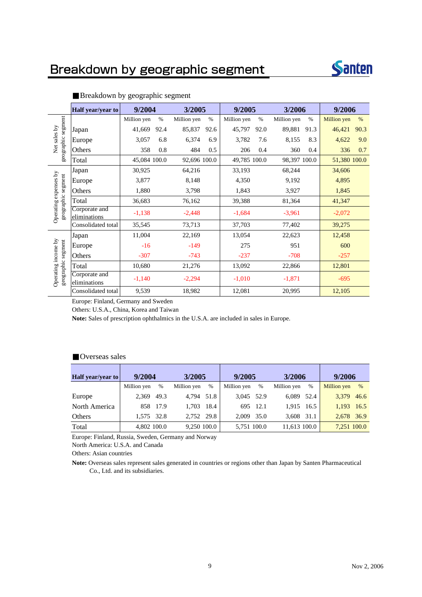### Breakdown by geographic segment



|                                           | Half year/year to             | 9/2004       |      | 3/2005       |      | 9/2005       |      | 3/2006       |      | 9/2006             |      |
|-------------------------------------------|-------------------------------|--------------|------|--------------|------|--------------|------|--------------|------|--------------------|------|
|                                           |                               | Million yen  | $\%$ | Million yen  | $\%$ | Million yen  | $\%$ | Million yen  | $\%$ | <b>Million</b> yen | $\%$ |
| segment                                   | Japan                         | 41,669       | 92.4 | 85,837       | 92.6 | 45,797       | 92.0 | 89,881       | 91.3 | 46,421             | 90.3 |
| Net sales by                              | Europe                        | 3,057        | 6.8  | 6,374        | 6.9  | 3,782        | 7.6  | 8,155        | 8.3  | 4,622              | 9.0  |
| geographic                                | Others                        | 358          | 0.8  | 484          | 0.5  | 206          | 0.4  | 360          | 0.4  | 336                | 0.7  |
|                                           | Total                         | 45,084 100.0 |      | 92,696 100.0 |      | 49,785 100.0 |      | 98,397 100.0 |      | 51,380 100.0       |      |
|                                           | Japan                         | 30,925       |      | 64,216       |      | 33,193       |      | 68,244       |      | 34,606             |      |
|                                           | Europe                        | 3,877        |      | 8,148        |      | 4,350        |      | 9,192        |      | 4,895              |      |
| expenses by                               | Others                        | 1,880        |      | 3,798        |      | 1,843        |      | 3,927        |      | 1,845              |      |
|                                           | Total                         | 36,683       |      | 76,162       |      | 39,388       |      | 81,364       |      | 41,347             |      |
| geographic segment<br>Operating           | Corporate and<br>eliminations | $-1,138$     |      | $-2,448$     |      | $-1,684$     |      | $-3,961$     |      | $-2,072$           |      |
|                                           | Consolidated total            | 35,545       |      | 73,713       |      | 37,703       |      | 77,402       |      | 39,275             |      |
|                                           | Japan                         | 11,004       |      | 22,169       |      | 13,054       |      | 22,623       |      | 12,458             |      |
|                                           | Europe                        | $-16$        |      | $-149$       |      | 275          |      | 951          |      | 600                |      |
|                                           | Others                        | $-307$       |      | $-743$       |      | $-237$       |      | $-708$       |      | $-257$             |      |
|                                           | Total                         | 10,680       |      | 21,276       |      | 13,092       |      | 22,866       |      | 12,801             |      |
| Operating income by<br>geographic segment | Corporate and<br>eliminations | $-1,140$     |      | $-2,294$     |      | $-1,010$     |      | $-1,871$     |      | $-695$             |      |
|                                           | Consolidated total            | 9,539        |      | 18,982       |      | 12,081       |      | 20,995       |      | 12,105             |      |

#### Breakdown by geographic segment

Europe: Finland, Germany and Sweden

Others: U.S.A., China, Korea and Taiwan

**Note:** Sales of prescription ophthalmics in the U.S.A. are included in sales in Europe.

#### Overseas sales

| Half year/year to | 9/2004      |          | 3/2005      |      | 9/2005      |        | 3/2006       |      | 9/2006      |      |
|-------------------|-------------|----------|-------------|------|-------------|--------|--------------|------|-------------|------|
|                   | Million yen | $\%$     | Million yen | $\%$ | Million yen | %      | Million yen  | %    | Million yen | $\%$ |
| Europe            | 2.369       | 49.3     | 4.794 51.8  |      | 3,045 52.9  |        | 6.089        | 52.4 | 3.379       | 46.6 |
| North America     |             | 858 17.9 | 1.703       | 18.4 | 695         | - 12.1 | 1.915        | 16.5 | 1.193       | 16.5 |
| Others            | 1.575 32.8  |          | 2.752 29.8  |      | 2.009       | 35.0   | 3.608        | 31.1 | 2,678 36.9  |      |
| Total             | 4.802 100.0 |          | 9.250 100.0 |      | 5.751 100.0 |        | 11.613 100.0 |      | 7.251 100.0 |      |

Europe: Finland, Russia, Sweden, Germany and Norway

North America: U.S.A. and Canada

Others: Asian countries

**Note:** Overseas sales represent sales generated in countries or regions other than Japan by Santen Pharmaceutical Co., Ltd. and its subsidiaries.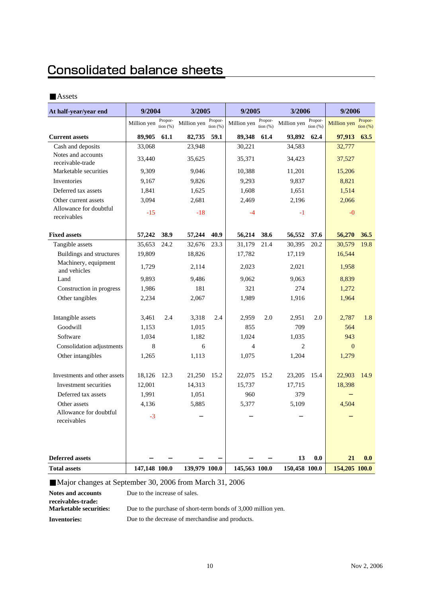### **Consolidated balance sheets**

#### Assets

| At half-year/year end                  | 9/2004        |                       | 3/2005        |                       | 9/2005         |                       | 3/2006        |                       | 9/2006        |                              |
|----------------------------------------|---------------|-----------------------|---------------|-----------------------|----------------|-----------------------|---------------|-----------------------|---------------|------------------------------|
|                                        | Million yen   | Propor-<br>tion $(%)$ | Million yen   | Propor-<br>tion $(%)$ | Million yen    | Propor-<br>tion $(%)$ | Million yen   | Propor-<br>tion $(%)$ | Million yen   | Propor-<br>$\frac{1}{2}$ (%) |
| <b>Current assets</b>                  | 89,905        | 61.1                  | 82,735        | 59.1                  | 89,348         | 61.4                  | 93,892        | 62.4                  | 97,913        | 63.5                         |
| Cash and deposits                      | 33,068        |                       | 23,948        |                       | 30,221         |                       | 34,583        |                       | 32,777        |                              |
| Notes and accounts<br>receivable-trade | 33,440        |                       | 35,625        |                       | 35,371         |                       | 34,423        |                       | 37,527        |                              |
| Marketable securities                  | 9,309         |                       | 9,046         |                       | 10,388         |                       | 11,201        |                       | 15,206        |                              |
| Inventories                            | 9,167         |                       | 9,826         |                       | 9,293          |                       | 9,837         |                       | 8,821         |                              |
| Deferred tax assets                    | 1,841         |                       | 1,625         |                       | 1,608          |                       | 1,651         |                       | 1,514         |                              |
| Other current assets                   | 3,094         |                       | 2,681         |                       | 2,469          |                       | 2,196         |                       | 2,066         |                              |
| Allowance for doubtful<br>receivables  | $-15$         |                       | $-18$         |                       | $-4$           |                       | $-1$          |                       | $-0$          |                              |
| <b>Fixed assets</b>                    | 57,242        | 38.9                  | 57,244        | 40.9                  | 56,214         | 38.6                  | 56,552        | 37.6                  | 56,270        | 36.5                         |
| Tangible assets                        | 35,653        | 24.2                  | 32,676        | 23.3                  | 31,179         | 21.4                  | 30,395        | 20.2                  | 30,579        | 19.8                         |
| Buildings and structures               | 19,809        |                       | 18,826        |                       | 17,782         |                       | 17,119        |                       | 16,544        |                              |
| Machinery, equipment<br>and vehicles   | 1,729         |                       | 2,114         |                       | 2,023          |                       | 2,021         |                       | 1,958         |                              |
| Land                                   | 9,893         |                       | 9,486         |                       | 9,062          |                       | 9,063         |                       | 8,839         |                              |
| Construction in progress               | 1,986         |                       | 181           |                       | 321            |                       | 274           |                       | 1,272         |                              |
| Other tangibles                        | 2,234         |                       | 2,067         |                       | 1,989          |                       | 1,916         |                       | 1,964         |                              |
| Intangible assets                      | 3,461         | 2.4                   | 3,318         | 2.4                   | 2,959          | 2.0                   | 2,951         | 2.0                   | 2,787         | 1.8                          |
| Goodwill                               | 1,153         |                       | 1,015         |                       | 855            |                       | 709           |                       | 564           |                              |
| Software                               | 1,034         |                       | 1,182         |                       | 1,024          |                       | 1,035         |                       | 943           |                              |
| Consolidation adjustments              | 8             |                       | 6             |                       | $\overline{4}$ |                       | 2             |                       | $\mathbf{0}$  |                              |
| Other intangibles                      | 1,265         |                       | 1,113         |                       | 1,075          |                       | 1,204         |                       | 1,279         |                              |
| Investments and other assets           | 18,126        | 12.3                  | 21,250        | 15.2                  | 22,075         | 15.2                  | 23,205        | 15.4                  | 22,903        | 14.9                         |
| Investment securities                  | 12,001        |                       | 14,313        |                       | 15,737         |                       | 17,715        |                       | 18,398        |                              |
| Deferred tax assets                    | 1,991         |                       | 1,051         |                       | 960            |                       | 379           |                       |               |                              |
| Other assets                           | 4,136         |                       | 5,885         |                       | 5,377          |                       | 5,109         |                       | 4,504         |                              |
| Allowance for doubtful<br>receivables  | $-3$          |                       |               |                       |                |                       |               |                       |               |                              |
|                                        |               |                       |               |                       |                |                       |               |                       |               |                              |
| <b>Deferred assets</b>                 |               |                       |               |                       |                |                       | 13            | 0.0                   | 21            | 0.0                          |
| <b>Total assets</b>                    | 147,148 100.0 |                       | 139,979 100.0 |                       | 145,563 100.0  |                       | 150,458 100.0 |                       | 154,205 100.0 |                              |

Major changes at September 30, 2006 from March 31, 2006

**Notes and accounts**

Due to the increase of sales.

**receivables-trade: Marketable securities:**

Due to the purchase of short-term bonds of 3,000 million yen.

**Inventories:**

Due to the decrease of merchandise and products.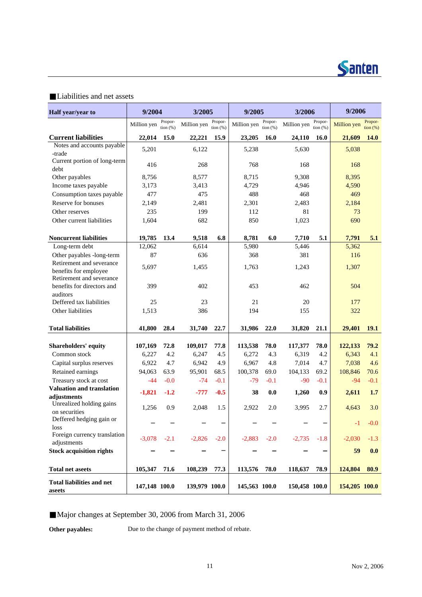

Liabilities and net assets

| Half year/year to                                 | 9/2004        |                        | 3/2005        |                       | 9/2005        |                       | 3/2006        |                       | 9/2006        |                              |
|---------------------------------------------------|---------------|------------------------|---------------|-----------------------|---------------|-----------------------|---------------|-----------------------|---------------|------------------------------|
|                                                   | Million yen   | Propor-<br>tion $(% )$ | Million yen   | Propor-<br>tion $(%)$ | Million yen   | Propor-<br>tion $(%)$ | Million yen   | Propor-<br>tion $(%)$ | Million yen   | Propor-<br>$\frac{1}{2}$ (%) |
| <b>Current liabilities</b>                        | 22,014        | 15.0                   | 22,221        | 15.9                  | 23,205        | 16.0                  | 24,110        | <b>16.0</b>           | 21,609        | <b>14.0</b>                  |
| Notes and accounts payable<br>-trade              | 5,201         |                        | 6,122         |                       | 5,238         |                       | 5.630         |                       | 5,038         |                              |
| Current portion of long-term<br>debt              | 416           |                        | 268           |                       | 768           |                       | 168           |                       | 168           |                              |
| Other payables                                    | 8,756         |                        | 8,577         |                       | 8,715         |                       | 9,308         |                       | 8,395         |                              |
| Income taxes payable                              | 3,173         |                        | 3,413         |                       | 4,729         |                       | 4.946         |                       | 4,590         |                              |
| Consumption taxes payable                         | 477           |                        | 475           |                       | 488           |                       | 468           |                       | 469           |                              |
| Reserve for bonuses                               | 2,149         |                        | 2,481         |                       | 2,301         |                       | 2,483         |                       | 2,184         |                              |
| Other reserves                                    | 235           |                        | 199           |                       | 112           |                       | 81            |                       | 73            |                              |
| Other current liabilities                         | 1,604         |                        | 682           |                       | 850           |                       | 1,023         |                       | 690           |                              |
| <b>Noncurrent liabilities</b>                     | 19,785        | 13.4                   | 9,518         | 6.8                   | 8,781         | 6.0                   | 7,710         | 5.1                   | 7,791         | 5.1                          |
| Long-term debt                                    | 12,062        |                        | 6,614         |                       | 5,980         |                       | 5,446         |                       | 5,362         |                              |
| Other payables -long-term                         | 87            |                        | 636           |                       | 368           |                       | 381           |                       | 116           |                              |
| Retirement and severance                          | 5,697         |                        | 1.455         |                       | 1,763         |                       | 1,243         |                       | 1,307         |                              |
| benefits for employee<br>Retirement and severance |               |                        |               |                       |               |                       |               |                       |               |                              |
| benefits for directors and<br>auditors            | 399           |                        | 402           |                       | 453           |                       | 462           |                       | 504           |                              |
| Deffered tax liabilities                          | 25            |                        | 23            |                       | 21            |                       | 20            |                       | 177           |                              |
| Other liabilities                                 | 1,513         |                        | 386           |                       | 194           |                       | 155           |                       | 322           |                              |
| <b>Total liabilities</b>                          | 41,800        | 28.4                   | 31,740        | 22.7                  | 31,986        | 22.0                  | 31,820        | 21.1                  | 29,401        | <b>19.1</b>                  |
| <b>Shareholders' equity</b>                       | 107,169       | 72.8                   | 109,017       | 77.8                  | 113,538       | 78.0                  | 117,377       | 78.0                  | 122,133       | 79.2                         |
| Common stock                                      | 6,227         | 4.2                    | 6,247         | 4.5                   | 6,272         | 4.3                   | 6,319         | 4.2                   | 6,343         | 4.1                          |
| Capital surplus reserves                          | 6,922         | 4.7                    | 6,942         | 4.9                   | 6,967         | 4.8                   | 7,014         | 4.7                   | 7,038         | 4.6                          |
| Retained earnings                                 | 94,063        | 63.9                   | 95,901        | 68.5                  | 100,378       | 69.0                  | 104,133       | 69.2                  | 108,846       | 70.6                         |
| Treasury stock at cost                            | $-44$         | $-0.0$                 | $-74$         | $-0.1$                | -79           | $-0.1$                | $-90$         | $-0.1$                | $-94$         | $-0.1$                       |
| <b>Valuation and translation</b>                  | $-1,821$      | $-1.2$                 | $-777$        | $-0.5$                | 38            | 0.0                   | 1,260         | 0.9                   | 2,611         | 1.7                          |
| adjustments<br>Unrealized holding gains           |               |                        |               |                       |               |                       |               |                       |               |                              |
| on securities                                     | 1,256         | 0.9                    | 2,048         | 1.5                   | 2,922         | 2.0                   | 3,995         | 2.7                   | 4,643         | 3.0                          |
| Deffered hedging gain or                          |               |                        |               |                       |               |                       |               |                       |               | $-0.0$                       |
| loss<br>Foreign currency translation              |               |                        |               |                       |               |                       |               |                       |               |                              |
| adjustments                                       | $-3,078$      | $-2.1$                 | $-2,826 -2.0$ |                       | $-2,883$      | $-2.0$                | $-2,735$      | $-1.8$                | $-2,030$      | $-1.3$                       |
| <b>Stock acquisition rights</b>                   |               |                        |               |                       |               |                       |               |                       | 59            | 0.0                          |
| <b>Total net aseets</b>                           | 105,347       | 71.6                   | 108,239       | 77.3                  | 113,576       | 78.0                  | 118,637       | 78.9                  | 124,804       | 80.9                         |
| <b>Total liabilities and net</b><br>aseets        | 147,148 100.0 |                        | 139,979 100.0 |                       | 145,563 100.0 |                       | 150,458 100.0 |                       | 154,205 100.0 |                              |

Major changes at September 30, 2006 from March 31, 2006

**Other payables:**

Due to the change of payment method of rebate.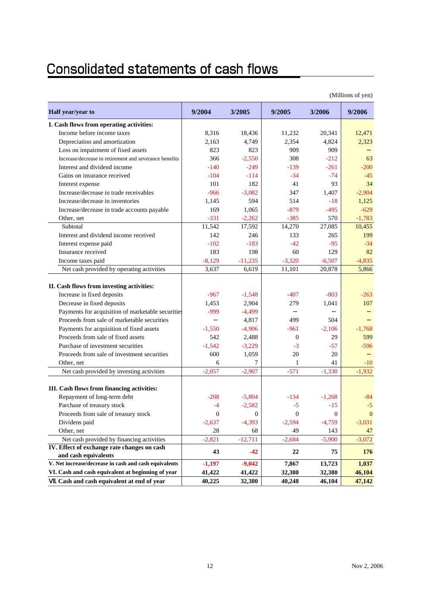## **Consolidated statements of cash flows**

|                                                        |                  |                  |                  |                  | (Millions of yen) |
|--------------------------------------------------------|------------------|------------------|------------------|------------------|-------------------|
| Half year/year to                                      | 9/2004           | 3/2005           | 9/2005           | 3/2006           | 9/2006            |
| I. Cash flows from operating activities:               |                  |                  |                  |                  |                   |
| Income before income taxes                             | 8,316            | 18,436           | 11,232           | 20,341           | 12,471            |
| Depreciation and amortization                          | 2,163            | 4,749            | 2,354            | 4,824            | 2,323             |
| Loss on impairment of fixed assets                     | 823              | 823              | 909              | 909              |                   |
| Increase/decrease in retirement and severance benefits | 366              | $-2,550$         | 308              | $-212$           | 63                |
| Interest and dividend income                           | $-140$           | $-249$           | $-139$           | $-261$           | $-200$            |
| Gains on insurance received                            | $-104$           | $-114$           | $-34$            | $-74$            | $-45$             |
| Interest expense                                       | 101              | 182              | 41               | 93               | 34                |
| Increase/decrease in trade receivables                 | $-966$           | $-3,082$         | 347              | 1,407            | $-2,904$          |
| Increase/decrease in inventories                       | 1,145            | 594              | 514              | $-18$            | 1,125             |
| Increase/decrease in trade accounts payable            | 169              | 1,065            | $-879$           | $-495$           | $-629$            |
| Other, net                                             | $-331$           | $-2,262$         | $-385$           | 570              | $-1,783$          |
| Subtotal                                               | 11,542           | 17,592           | 14,270           | 27,085           | 10,455            |
| Interest and dividend income received                  | 142              | 246              | 133              | 265              | 199               |
| Interest expense paid                                  | $-102$           | $-183$           | $-42$            | $-95$            | $-34$             |
| Insurance received                                     | 183              | 198              | 60               | 129              | 82                |
| Income taxes paid                                      | $-8,129$         | $-11,235$        | $-3.320$         | $-6,507$         | $-4,835$          |
| Net cash provided by operating activities              | 3,637            | 6,619            | 11,101           | 20,878           | 5,866             |
| II. Cash flows from investing activities:              |                  |                  |                  |                  |                   |
| Increase in fixed deposits                             | $-967$           | $-1,548$         | $-407$           | $-803$           | $-263$            |
| Decrease in fixed deposits                             | 1,453            | 2,904            | 279              | 1,041            | 107               |
| Payments for acquisition of marketable securities      | $-999$           | $-4,499$         |                  |                  |                   |
| Proceeds from sale of marketable securities            |                  | 4,817            | 499              | 504              |                   |
| Payments for acquisition of fixed assets               | $-1,550$         | $-4,906$         | $-961$           | $-2,106$         | $-1,768$          |
| Proceeds from sale of fixed assets                     | 542              | 2,488            | $\boldsymbol{0}$ | 29               | 599               |
| Purchase of investment securities                      | $-1,542$         | $-3,229$         | $-3$             | $-57$            | $-596$            |
| Proceeds from sale of investment securities            | 600              | 1,059            | 20               | 20               |                   |
| Other, net                                             | 6                | 7                | 1                | 41               | $-10$             |
| Net cash provided by investing activities              | $-2,057$         | $-2,907$         | $-571$           | $-1,330$         | $-1,932$          |
| III. Cash flows from financing activities:             |                  |                  |                  |                  |                   |
| Repayment of long-term debt                            | $-208$           | $-5,804$         | $-134$           | $-1,268$         | -84               |
| Parchase of treasury stock                             | -4               | $-2,582$         | $-5$             | $-15$            | $-5$              |
| Proceeds from sale of treasury stock                   | $\boldsymbol{0}$ | $\boldsymbol{0}$ | $\boldsymbol{0}$ | $\boldsymbol{0}$ | $\mathbf{0}$      |
| Dividens paid                                          | $-2,637$         | $-4,393$         | $-2,594$         | $-4,759$         | $-3,031$          |
| Other, net                                             | 28               | 68               | 49               | 143              | 47                |
| Net cash provided by financing activities              | $-2,821$         | $-12,711$        | $-2,684$         | $-5,900$         | $-3,072$          |
| IV. Effect of exchange rate changes on cash            | 43               | -42              | 22               | 75               | 176               |
| and cash equivalents                                   |                  |                  |                  |                  |                   |
| V. Net increase/decrease in cash and cash equivalents  | $-1,197$         | $-9,042$         | 7,867            | 13,723           | 1,037             |
| VI. Cash and cash equivalent at beginning of year      | 41,422           | 41,422           | 32,380           | 32,380           | 46,104            |
| . Cash and cash equivalent at end of year              | 40,225           | 32,380           | 40,248           | 46,104           | 47,142            |

(Millions of yen)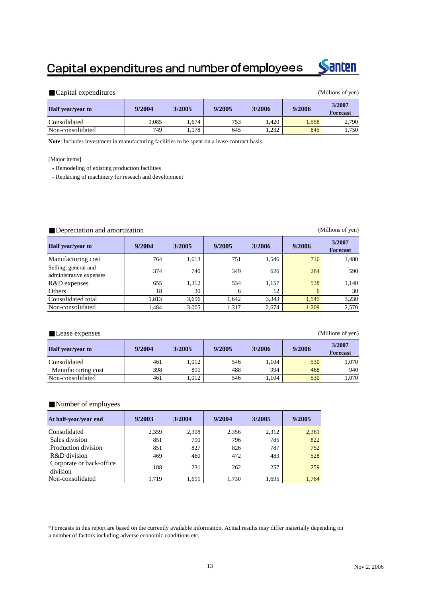## Capital expenditures and number of employees



| Capital expenditures     |        |        |        |        |        | (Millions of yen)         |
|--------------------------|--------|--------|--------|--------|--------|---------------------------|
| <b>Half</b> year/year to | 9/2004 | 3/2005 | 9/2005 | 3/2006 | 9/2006 | 3/2007<br><b>Forecast</b> |
| Consolidated             | .085   | .674   | 753    | 1.420  | 1.558  | 2,790                     |
| Non-consolidated         | 749    | 1.178  | 645    | 1.232  | 845    | 1,750                     |

**Note**: Includes investment in manufacturing facilities to be spent on a lease contract basis.

[Major items]

- Remodeling of existing production facilities

- Replacing of machinery for reseach and development

#### Depreciation and amortization (Millions of yen)

| <b>Half</b> year/year to                        | 9/2004 | 3/2005 | 9/2005 | 3/2006 | 9/2006 | 3/2007<br><b>Forecast</b> |
|-------------------------------------------------|--------|--------|--------|--------|--------|---------------------------|
| Manufacturing cost                              | 764    | 1,613  | 751    | 1,546  | 716    | 1,480                     |
| Selling, general and<br>administrative expenses | 374    | 740    | 349    | 626    | 284    | 590                       |
| R&D expenses                                    | 655    | 1,312  | 534    | 1,157  | 538    | 1,140                     |
| Others                                          | 18     | 30     | 6      | 12     | 6      | 30                        |
| Consolidated total                              | 1.813  | 3,696  | 1.642  | 3,343  | 1.545  | 3,230                     |
| Non-consolidated                                | 1.484  | 3.005  | 1.317  | 2.674  | 1.209  | 2.570                     |

Lease expenses (Millions of yen) **Half year/year to 9/2004** 3/2005 9/2005 3/2006 9/2006 3/2007 **Forecast** Consolidated 1,012 546 1,104 530 1,070 Manufacturing cost 1998 891 488 994 468 940 Non-consolidated 461 1,012 546 1,104 530 1,070

#### Number of employees

| At half-year/year end                | 9/2003 | 3/2004 | 9/2004 | 3/2005 | 9/2005 |
|--------------------------------------|--------|--------|--------|--------|--------|
| Consolidated                         | 2.359  | 2,308  | 2.356  | 2,312  | 2,361  |
| Sales division                       | 851    | 790    | 796    | 785    | 822    |
| Production division                  | 851    | 827    | 826    | 787    | 752    |
| R&D division                         | 469    | 460    | 472    | 483    | 528    |
| Corporate or back-office<br>division | 188    | 231    | 262    | 257    | 259    |
| Non-consolidated                     | 1.719  | 1.691  | 1.730  | 1,695  | 1,764  |

\*Forecasts in this report are based on the currently available information. Actual results may differ materially depending on a number of factors including adverse economic conditions etc.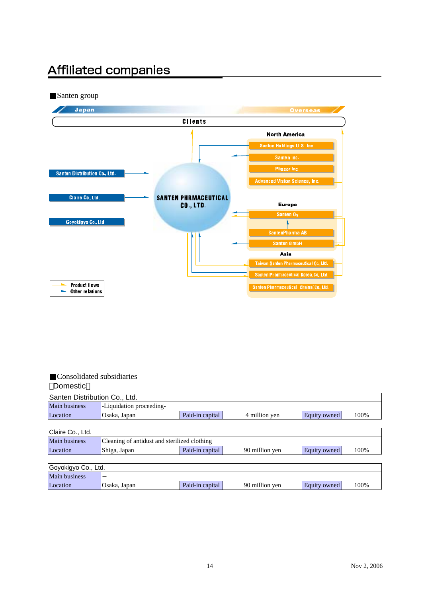### **Affiliated companies**

Santen group



#### Consolidated subsidiaries Domestic

| Santen Distribution Co., Ltd. |                     |                                              |              |      |  |  |  |  |  |
|-------------------------------|---------------------|----------------------------------------------|--------------|------|--|--|--|--|--|
| -Liquidation proceeding-      |                     |                                              |              |      |  |  |  |  |  |
| Osaka, Japan                  | Paid-in capital     | 4 million yen                                | Equity owned | 100% |  |  |  |  |  |
|                               |                     |                                              |              |      |  |  |  |  |  |
|                               |                     |                                              |              |      |  |  |  |  |  |
|                               |                     |                                              |              |      |  |  |  |  |  |
| Shiga, Japan                  | Paid-in capital     | 90 million yen                               | Equity owned | 100% |  |  |  |  |  |
|                               |                     |                                              |              |      |  |  |  |  |  |
|                               |                     |                                              |              |      |  |  |  |  |  |
|                               |                     |                                              |              |      |  |  |  |  |  |
| Osaka, Japan                  | Paid-in capital     | 90 million yen                               | Equity owned | 100% |  |  |  |  |  |
|                               | Goyokigyo Co., Ltd. | Cleaning of antidust and sterilized clothing |              |      |  |  |  |  |  |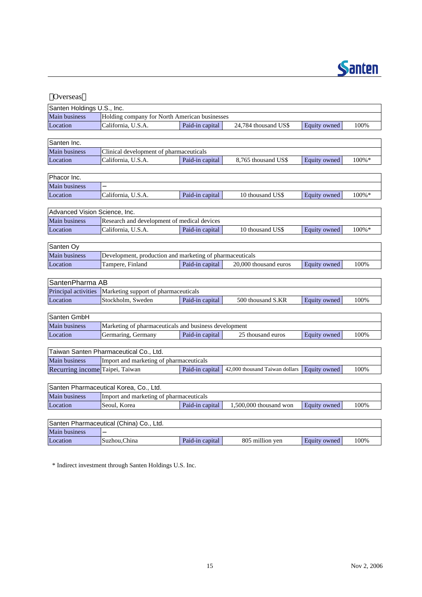

| Overseas                        |                                                          |                 |                                |              |       |
|---------------------------------|----------------------------------------------------------|-----------------|--------------------------------|--------------|-------|
| Santen Holdings U.S., Inc.      |                                                          |                 |                                |              |       |
| <b>Main business</b>            | Holding company for North American businesses            |                 |                                |              |       |
| Location                        | California, U.S.A.                                       | Paid-in capital | 24,784 thousand US\$           | Equity owned | 100%  |
|                                 |                                                          |                 |                                |              |       |
| Santen Inc.                     |                                                          |                 |                                |              |       |
| Main business                   | Clinical development of pharmaceuticals                  |                 |                                |              |       |
| Location                        | California, U.S.A.                                       | Paid-in capital | 8,765 thousand US\$            | Equity owned | 100%* |
|                                 |                                                          |                 |                                |              |       |
| Phacor Inc.                     |                                                          |                 |                                |              |       |
| Main business                   |                                                          |                 |                                |              |       |
| Location                        | California, U.S.A.                                       | Paid-in capital | 10 thousand US\$               | Equity owned | 100%* |
| Advanced Vision Science, Inc.   |                                                          |                 |                                |              |       |
| Main business                   | Research and development of medical devices              |                 |                                |              |       |
| Location                        | California, U.S.A.                                       | Paid-in capital | 10 thousand US\$               | Equity owned | 100%* |
|                                 |                                                          |                 |                                |              |       |
| Santen Oy                       |                                                          |                 |                                |              |       |
| Main business                   | Development, production and marketing of pharmaceuticals |                 |                                |              |       |
| Location                        | Tampere, Finland                                         | Paid-in capital | 20,000 thousand euros          | Equity owned | 100%  |
|                                 |                                                          |                 |                                |              |       |
| SantenPharma AB                 |                                                          |                 |                                |              |       |
| Principal activities            | Marketing support of pharmaceuticals                     |                 |                                |              |       |
| Location                        | Stockholm, Sweden                                        | Paid-in capital | 500 thousand S.KR              | Equity owned | 100%  |
|                                 |                                                          |                 |                                |              |       |
| Santen GmbH                     |                                                          |                 |                                |              |       |
| Main business                   | Marketing of pharmaceuticals and business development    |                 |                                |              |       |
| Location                        | Germaring, Germany                                       | Paid-in capital | 25 thousand euros              | Equity owned | 100%  |
|                                 |                                                          |                 |                                |              |       |
|                                 | Taiwan Santen Pharmaceutical Co., Ltd.                   |                 |                                |              |       |
| <b>Main business</b>            | Import and marketing of pharmaceuticals                  |                 |                                |              |       |
| Recurring income Taipei, Taiwan |                                                          | Paid-in capital | 42,000 thousand Taiwan dollars | Equity owned | 100%  |
|                                 |                                                          |                 |                                |              |       |
|                                 | Santen Pharmaceutical Korea, Co., Ltd.                   |                 |                                |              |       |
| <b>Main business</b>            | Import and marketing of pharmaceuticals                  |                 |                                |              |       |
| Location                        | Seoul. Korea                                             | Paid-in capital | $1,500,000$ thousand won       | Equity owned | 100%  |
|                                 |                                                          |                 |                                |              |       |
|                                 | Santen Pharmaceutical (China) Co., Ltd.                  |                 |                                |              |       |
| <b>Main business</b>            |                                                          |                 |                                |              |       |
| Location                        | Suzhou.China                                             | Paid-in capital | 805 million yen                | Equity owned | 100%  |

\* Indirect investment through Santen Holdings U.S. Inc.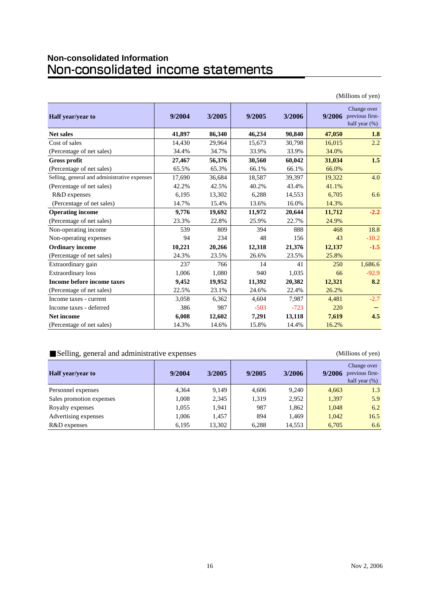# **Non-consolidated Information**

|                                              |        |        |        |        |        | (Millions of yen)                                  |
|----------------------------------------------|--------|--------|--------|--------|--------|----------------------------------------------------|
| Half year/year to                            | 9/2004 | 3/2005 | 9/2005 | 3/2006 | 9/2006 | Change over<br>previous first-<br>half year $(\%)$ |
| <b>Net sales</b>                             | 41,897 | 86,340 | 46,234 | 90,840 | 47,050 | 1.8                                                |
| Cost of sales                                | 14,430 | 29.964 | 15,673 | 30,798 | 16,015 | 2.2                                                |
| (Percentage of net sales)                    | 34.4%  | 34.7%  | 33.9%  | 33.9%  | 34.0%  |                                                    |
| <b>Gross profit</b>                          | 27,467 | 56,376 | 30,560 | 60,042 | 31,034 | 1.5                                                |
| (Percentage of net sales)                    | 65.5%  | 65.3%  | 66.1%  | 66.1%  | 66.0%  |                                                    |
| Selling, general and administrative expenses | 17,690 | 36,684 | 18,587 | 39,397 | 19,322 | 4.0                                                |
| (Percentage of net sales)                    | 42.2%  | 42.5%  | 40.2%  | 43.4%  | 41.1%  |                                                    |
| R&D expenses                                 | 6,195  | 13,302 | 6,288  | 14,553 | 6,705  | 6.6                                                |
| (Percentage of net sales)                    | 14.7%  | 15.4%  | 13.6%  | 16.0%  | 14.3%  |                                                    |
| <b>Operating income</b>                      | 9,776  | 19,692 | 11,972 | 20,644 | 11,712 | $-2.2$                                             |
| (Percentage of net sales)                    | 23.3%  | 22.8%  | 25.9%  | 22.7%  | 24.9%  |                                                    |
| Non-operating income                         | 539    | 809    | 394    | 888    | 468    | 18.8                                               |
| Non-operating expenses                       | 94     | 234    | 48     | 156    | 43     | $-10.2$                                            |
| <b>Ordinary income</b>                       | 10,221 | 20,266 | 12,318 | 21,376 | 12,137 | $-1.5$                                             |
| (Percentage of net sales)                    | 24.3%  | 23.5%  | 26.6%  | 23.5%  | 25.8%  |                                                    |
| Extraordinary gain                           | 237    | 766    | 14     | 41     | 250    | 1,686.6                                            |
| <b>Extraordinary</b> loss                    | 1,006  | 1,080  | 940    | 1,035  | 66     | $-92.9$                                            |
| Income before income taxes                   | 9,452  | 19,952 | 11,392 | 20,382 | 12,321 | 8.2                                                |
| (Percentage of net sales)                    | 22.5%  | 23.1%  | 24.6%  | 22.4%  | 26.2%  |                                                    |
| Income taxes - current                       | 3,058  | 6,362  | 4,604  | 7,987  | 4,481  | $-2.7$                                             |
| Income taxes - deferred                      | 386    | 987    | $-503$ | $-723$ | 220    |                                                    |
| <b>Net income</b>                            | 6,008  | 12,602 | 7,291  | 13,118 | 7,619  | 4.5                                                |
| (Percentage of net sales)                    | 14.3%  | 14.6%  | 15.8%  | 14.4%  | 16.2%  |                                                    |

#### Selling, general and administrative expenses (Millions of yen)

| Half year/year to        | 9/2004 | 3/2005 | 9/2005 | 3/2006 | 9/2006 | Change over<br>previous first-<br>half year $(\%)$ |
|--------------------------|--------|--------|--------|--------|--------|----------------------------------------------------|
| Personnel expenses       | 4,364  | 9.149  | 4,606  | 9,240  | 4,663  | 1.3                                                |
| Sales promotion expenses | 1,008  | 2,345  | 1,319  | 2,952  | 1,397  | 5.9                                                |
| Royalty expenses         | 1,055  | 1,941  | 987    | 1,862  | 1,048  | 6.2                                                |
| Advertising expenses     | 1,006  | 1,457  | 894    | 1,469  | 1,042  | 16.5                                               |
| R&D expenses             | 6,195  | 13,302 | 6,288  | 14,553 | 6,705  | 6.6                                                |

(Millions of yen)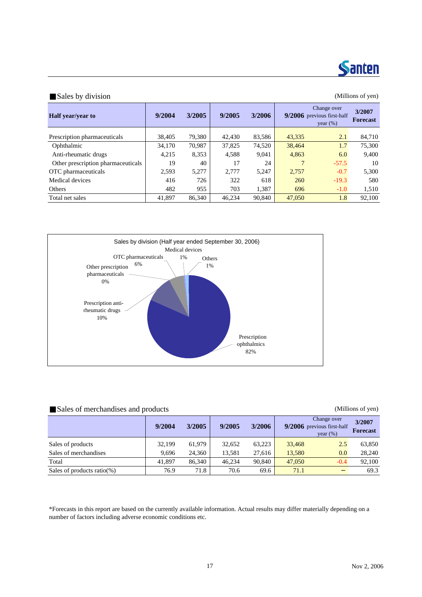

| Sales by division<br>(Millions of yen) |        |        |        |        |        |                                                          |                           |  |  |  |  |
|----------------------------------------|--------|--------|--------|--------|--------|----------------------------------------------------------|---------------------------|--|--|--|--|
| <b>Half</b> year/year to               | 9/2004 | 3/2005 | 9/2005 | 3/2006 |        | Change over<br>9/2006 previous first-half<br>year $(\%)$ | 3/2007<br><b>Forecast</b> |  |  |  |  |
| Prescription pharmaceuticals           | 38,405 | 79,380 | 42,430 | 83,586 | 43,335 | 2.1                                                      | 84,710                    |  |  |  |  |
| Ophthalmic                             | 34,170 | 70,987 | 37,825 | 74,520 | 38,464 | 1.7                                                      | 75,300                    |  |  |  |  |
| Anti-rheumatic drugs                   | 4,215  | 8,353  | 4,588  | 9,041  | 4,863  | 6.0                                                      | 9.400                     |  |  |  |  |
| Other prescription pharmaceuticals     | 19     | 40     | 17     | 24     |        | $-57.5$                                                  | 10                        |  |  |  |  |
| OTC pharmaceuticals                    | 2,593  | 5,277  | 2.777  | 5,247  | 2.757  | $-0.7$                                                   | 5,300                     |  |  |  |  |
| Medical devices                        | 416    | 726    | 322    | 618    | 260    | $-19.3$                                                  | 580                       |  |  |  |  |
| Others                                 | 482    | 955    | 703    | 1,387  | 696    | $-1.0$                                                   | 1,510                     |  |  |  |  |
| Total net sales                        | 41,897 | 86,340 | 46,234 | 90,840 | 47,050 | 1.8                                                      | 92,100                    |  |  |  |  |



#### Sales of merchandises and products (Millions of yen)

|                            | 9/2004 | 3/2005 | 9/2005 | 3/2006 |        | Change over<br>9/2006 previous first-half<br>year $(\%)$ | 3/2007<br><b>Forecast</b> |
|----------------------------|--------|--------|--------|--------|--------|----------------------------------------------------------|---------------------------|
| Sales of products          | 32.199 | 61.979 | 32,652 | 63.223 | 33,468 | 2.5                                                      | 63,850                    |
| Sales of merchandises      | 9,696  | 24,360 | 13,581 | 27,616 | 13,580 | 0.0                                                      | 28,240                    |
| Total                      | 41.897 | 86,340 | 46.234 | 90.840 | 47,050 | $-0.4$                                                   | 92,100                    |
| Sales of products ratio(%) | 76.9   | 71.8   | 70.6   | 69.6   | 71.1   |                                                          | 69.3                      |

\*Forecasts in this report are based on the currently available information. Actual results may differ materially depending on a number of factors including adverse economic conditions etc.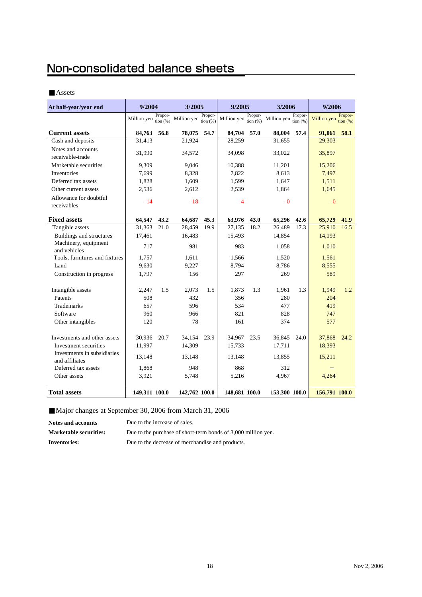### Non-consolidated balance sheets

| At half-year/year end                         | 9/2004        |                       | 3/2005        |                       | 9/2005        |                       | 3/2006        |                                                          | 9/2006        |                     |
|-----------------------------------------------|---------------|-----------------------|---------------|-----------------------|---------------|-----------------------|---------------|----------------------------------------------------------|---------------|---------------------|
|                                               | Million yen   | Propor-<br>tion $(%)$ | Million yen   | Propor-<br>tion $(%)$ | Million yen   | Propor-<br>tion $(%)$ | Million yen   | Propor-<br>$\frac{1}{2}$ tion $\left(\frac{9}{6}\right)$ | Million yen   | Propor-<br>tion (%) |
| <b>Current assets</b>                         | 84,763        | 56.8                  | 78,075        | 54.7                  | 84,704        | 57.0                  | 88,004        | 57.4                                                     | 91,061        | 58.1                |
| Cash and deposits                             | 31,413        |                       | 21,924        |                       | 28,259        |                       | 31,655        |                                                          | 29,303        |                     |
| Notes and accounts<br>receivable-trade        | 31,990        |                       | 34,572        |                       | 34,098        |                       | 33,022        |                                                          | 35,897        |                     |
| Marketable securities                         | 9,309         |                       | 9,046         |                       | 10,388        |                       | 11,201        |                                                          | 15,206        |                     |
| Inventories                                   | 7,699         |                       | 8,328         |                       | 7,822         |                       | 8,613         |                                                          | 7,497         |                     |
| Deferred tax assets                           | 1,828         |                       | 1,609         |                       | 1,599         |                       | 1,647         |                                                          | 1,511         |                     |
| Other current assets                          | 2,536         |                       | 2,612         |                       | 2,539         |                       | 1,864         |                                                          | 1,645         |                     |
| Allowance for doubtful<br>receivables         | $-14$         |                       | $-18$         |                       | $-4$          |                       | $-0$          |                                                          | $-0$          |                     |
| <b>Fixed assets</b>                           | 64,547        | 43.2                  | 64,687        | 45.3                  | 63,976        | 43.0                  | 65,296        | 42.6                                                     | 65,729        | 41.9                |
| Tangible assets                               | 31,363        | 21.0                  | 28,459        | 19.9                  | 27,135        | 18.2                  | 26,489        | 17.3                                                     | 25,910        | 16.5                |
| Buildings and structures                      | 17,461        |                       | 16,483        |                       | 15,493        |                       | 14,854        |                                                          | 14,193        |                     |
| Machinery, equipment<br>and vehicles          | 717           |                       | 981           |                       | 983           |                       | 1,058         |                                                          | 1,010         |                     |
| Tools, furnitures and fixtures                | 1,757         |                       | 1,611         |                       | 1,566         |                       | 1,520         |                                                          | 1,561         |                     |
| Land                                          | 9,630         |                       | 9,227         |                       | 8,794         |                       | 8,786         |                                                          | 8,555         |                     |
| Construction in progress                      | 1,797         |                       | 156           |                       | 297           |                       | 269           |                                                          | 589           |                     |
| Intangible assets                             | 2,247         | 1.5                   | 2,073         | 1.5                   | 1,873         | 1.3                   | 1,961         | 1.3                                                      | 1,949         | 1.2                 |
| Patents                                       | 508           |                       | 432           |                       | 356           |                       | 280           |                                                          | 204           |                     |
| <b>Trademarks</b>                             | 657           |                       | 596           |                       | 534           |                       | 477           |                                                          | 419           |                     |
| Software                                      | 960           |                       | 966           |                       | 821           |                       | 828           |                                                          | 747           |                     |
| Other intangibles                             | 120           |                       | 78            |                       | 161           |                       | 374           |                                                          | 577           |                     |
| Investments and other assets                  | 30,936        | 20.7                  | 34,154        | 23.9                  | 34,967        | 23.5                  | 36,845        | 24.0                                                     | 37,868        | 24.2                |
| Investment securities                         | 11,997        |                       | 14,309        |                       | 15,733        |                       | 17,711        |                                                          | 18,393        |                     |
| Investments in subsidiaries<br>and affiliates | 13,148        |                       | 13,148        |                       | 13,148        |                       | 13,855        |                                                          | 15,211        |                     |
| Deferred tax assets                           | 1,868         |                       | 948           |                       | 868           |                       | 312           |                                                          |               |                     |
| Other assets                                  | 3,921         |                       | 5,748         |                       | 5,216         |                       | 4,967         |                                                          | 4,264         |                     |
| <b>Total assets</b>                           | 149,311 100.0 |                       | 142,762 100.0 |                       | 148,681 100.0 |                       | 153,300 100.0 |                                                          | 156,791 100.0 |                     |

Major changes at September 30, 2006 from March 31, 2006

**Notes and accounts** Due to the increase of sales.

**Marketable securities:** Due to the purchase of short-term bonds of 3,000 million yen.

**Inventories:**

Due to the decrease of merchandise and products.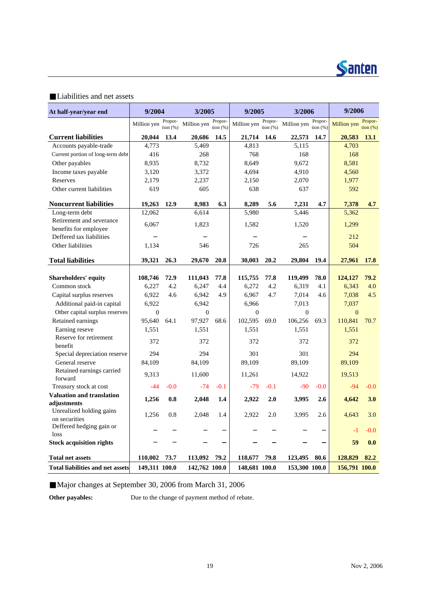

#### Liabilities and net assets

| At half-year/year end                             | 9/2004        |                       | 3/2005           |                       | 9/2005           |                       | 3/2006           |                     | 9/2006        |                     |
|---------------------------------------------------|---------------|-----------------------|------------------|-----------------------|------------------|-----------------------|------------------|---------------------|---------------|---------------------|
|                                                   | Million yen   | Propor-<br>tion $(%)$ | Million yen      | Propor-<br>tion $(%)$ | Million yen      | Propor-<br>tion $(%)$ | Million yen      | Propor-<br>tion (%) | Million yen   | Propor-<br>tion (%) |
| <b>Current liabilities</b>                        | 20,044        | 13.4                  | 20,686           | 14.5                  | 21,714 14.6      |                       | 22,573           | 14.7                | 20,583        | <b>13.1</b>         |
| Accounts payable-trade                            | 4,773         |                       | 5,469            |                       | 4,813            |                       | 5,115            |                     | 4,703         |                     |
| Current portion of long-term debt                 | 416           |                       | 268              |                       | 768              |                       | 168              |                     | 168           |                     |
| Other payables                                    | 8,935         |                       | 8,732            |                       | 8,649            |                       | 9,672            |                     | 8,581         |                     |
| Income taxes payable                              | 3,120         |                       | 3,372            |                       | 4,694            |                       | 4,910            |                     | 4,560         |                     |
| Reserves                                          | 2,179         |                       | 2,237            |                       | 2,150            |                       | 2,070            |                     | 1,977         |                     |
| Other current liabilities                         | 619           |                       | 605              |                       | 638              |                       | 637              |                     | 592           |                     |
| <b>Noncurrent liabilities</b>                     | 19,263        | 12.9                  | 8,983            | 6.3                   | 8,289            | 5.6                   | 7,231            | 4.7                 | 7,378         | 4.7                 |
| Long-term debt                                    | 12,062        |                       | 6,614            |                       | 5,980            |                       | 5,446            |                     | 5,362         |                     |
| Retirement and severance<br>benefits for employee | 6,067         |                       | 1,823            |                       | 1,582            |                       | 1,520            |                     | 1,299         |                     |
| Deffered tax liabilities                          |               |                       |                  |                       |                  |                       |                  |                     | 212           |                     |
| Other liabilities                                 | 1,134         |                       | 546              |                       | 726              |                       | 265              |                     | 504           |                     |
| <b>Total liabilities</b>                          | 39,321        | 26.3                  | 29,670           | 20.8                  | 30,003           | 20.2                  | 29,804           | 19.4                | 27,961        | <b>17.8</b>         |
|                                                   |               |                       |                  |                       |                  |                       |                  |                     |               |                     |
| <b>Shareholders' equity</b>                       | 108,746       | 72.9                  | 111,043          | 77.8                  | 115,755          | 77.8                  | 119,499          | 78.0                | 124,127       | 79.2                |
| Common stock                                      | 6,227         | 4.2                   | 6,247            | 4.4                   | 6,272            | 4.2                   | 6,319            | 4.1                 | 6,343         | 4.0                 |
| Capital surplus reserves                          | 6,922         | 4.6                   | 6,942            | 4.9                   | 6,967            | 4.7                   | 7,014            | 4.6                 | 7,038         | 4.5                 |
| Additional paid-in capital                        | 6,922         |                       | 6,942            |                       | 6,966            |                       | 7,013            |                     | 7,037         |                     |
| Other capital surplus reserves                    | $\mathbf{0}$  |                       | $\boldsymbol{0}$ |                       | $\boldsymbol{0}$ |                       | $\boldsymbol{0}$ |                     | $\mathbf{0}$  |                     |
| Retained earnings                                 | 95,640        | 64.1                  | 97,927           | 68.6                  | 102,595          | 69.0                  | 106,256          | 69.3                | 110,841       | 70.7                |
| Earning reseve                                    | 1,551         |                       | 1,551            |                       | 1,551            |                       | 1,551            |                     | 1,551         |                     |
| Reserve for retirement<br>benefit                 | 372           |                       | 372              |                       | 372              |                       | 372              |                     | 372           |                     |
| Special depreciation reserve                      | 294           |                       | 294              |                       | 301              |                       | 301              |                     | 294           |                     |
| General reserve                                   | 84,109        |                       | 84,109           |                       | 89,109           |                       | 89,109           |                     | 89,109        |                     |
| Retained earnings carried<br>forward              | 9,313         |                       | 11,600           |                       | 11,261           |                       | 14,922           |                     | 19,513        |                     |
| Treasury stock at cost                            | $-44$         | $-0.0$                | $-74$            | $-0.1$                | $-79$            | $-0.1$                | $-90$            | $-0.0$              | $-94$         | $-0.0$              |
| <b>Valuation and translation</b>                  |               |                       |                  |                       |                  |                       |                  |                     |               |                     |
| adjustments                                       | 1,256         | 0.8                   | 2,048            | 1.4                   | 2,922            | 2.0                   | 3,995            | 2.6                 | 4,642         | 3.0                 |
| Unrealized holding gains                          |               | 0.8                   |                  | 1.4                   | 2,922            | 2.0                   | 3,995            | 2.6                 |               | 3.0                 |
| on securities                                     | 1,256         |                       | 2,048            |                       |                  |                       |                  |                     | 4,643         |                     |
| Deffered hedging gain or<br>loss                  |               |                       |                  |                       |                  |                       |                  |                     | $-1$          | $-0.0$              |
| <b>Stock acquisition rights</b>                   |               |                       |                  |                       |                  |                       |                  |                     | 59            | 0.0                 |
| <b>Total net assets</b>                           | 110,002       | 73.7                  | 113,092          | 79.2                  | 118,677          | 79.8                  | 123,495          | 80.6                | 128,829       | 82.2                |
| <b>Total liabilities and net assets</b>           | 149,311 100.0 |                       | 142,762 100.0    |                       | 148,681 100.0    |                       | 153,300 100.0    |                     | 156,791 100.0 |                     |
|                                                   |               |                       |                  |                       |                  |                       |                  |                     |               |                     |

Major changes at September 30, 2006 from March 31, 2006

**Other payables:**

Due to the change of payment method of rebate.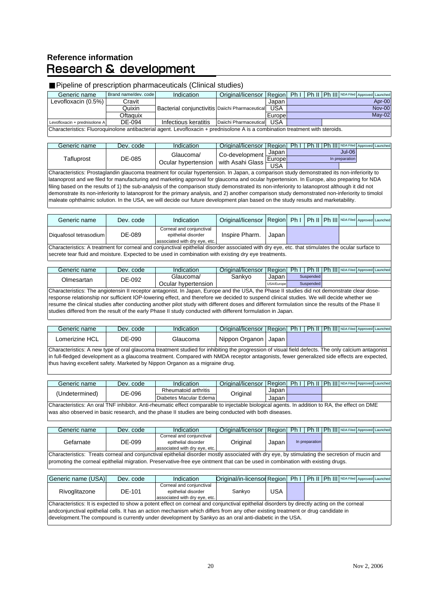### **Reference information Research & development**

#### Pipeline of prescription pharmaceuticals (Clinical studies)

| Generic name                  | Brand name/dev. code                                                                                                               | Indication                                      | Original/licensor   Region   Ph     Ph       Ph       NDA Filed Approved Launched |         |  |  |  |               |          |  |  |  |
|-------------------------------|------------------------------------------------------------------------------------------------------------------------------------|-------------------------------------------------|-----------------------------------------------------------------------------------|---------|--|--|--|---------------|----------|--|--|--|
| Levofloxacin $(0.5%)$         | Cravit                                                                                                                             |                                                 |                                                                                   | Japan   |  |  |  |               | Apr-00   |  |  |  |
|                               | Quixin                                                                                                                             | Bacterial conjunctivitis Daiichi Pharmaceutical |                                                                                   | USA     |  |  |  | <b>Nov-00</b> |          |  |  |  |
|                               | Oftaguix                                                                                                                           |                                                 |                                                                                   | Europel |  |  |  |               | $Mav-02$ |  |  |  |
| Levofloxacin + prednisolone A | DE-094                                                                                                                             | Infectious keratitis                            | Daiichi Pharmaceutical                                                            | USA     |  |  |  |               |          |  |  |  |
|                               | $\cap$ Characteristics: Fluoroquinolone antibacterial agent Levoflovacin + prednisolone A is a combination treatment with steroids |                                                 |                                                                                   |         |  |  |  |               |          |  |  |  |

Characteristics: Fluoroquinolone antibacterial agent. Levofloxacin + prednisolone A is a combination treatment with steroids.

| Generic name | Dev. code l | Indication          | Original/licensor Region Ph I |               | Ph II   Ph III   NDA Filed   Approved   Launched |                |  |
|--------------|-------------|---------------------|-------------------------------|---------------|--------------------------------------------------|----------------|--|
|              |             | Glaucoma/           | Co-development ⊧              | Japan         |                                                  | Jul-06         |  |
| Tafluprost   | DE-085      | Ocular hypertension | with Asahi Glass              | <b>Lurope</b> |                                                  | In preparation |  |
|              |             |                     |                               | USA           |                                                  |                |  |

Characteristics: Prostaglandin glaucoma treatment for ocular hypertension. In Japan, a comparison study demonstrated its non-inferiority to latanoprost and we filed for manufacturing and marketing approval for glaucoma and ocular hypertension. In Europe, also preparing for NDA filing based on the results of 1) the sub-analysis of the comparison study demonstrated its non-inferiority to latanoprost although it did not demonstrate its non-inferiority to latanoprost for the primary analysis, and 2) another comparison study demonstrated non-inferiority to timolol maleate ophthalmic solution. In the USA, we will decide our future development plan based on the study results and marketability.

| Generic name                                                                                                                                      | Dev. code | Indication                                                                       | Original/licensor   Region   Ph     Ph       Ph       NDA Filed Approved Launched |         |  |  |  |  |  |  |
|---------------------------------------------------------------------------------------------------------------------------------------------------|-----------|----------------------------------------------------------------------------------|-----------------------------------------------------------------------------------|---------|--|--|--|--|--|--|
| Diquafosol tetrasodium                                                                                                                            | DE-089    | Corneal and conjunctival<br>epithelial disorder<br>associated with dry eye, etc. | Inspire Pharm.                                                                    | Japan I |  |  |  |  |  |  |
| Characteristics: A treatment for corneal and conjunctival epithelial disorder associated with dry eye, etc. that stimulates the ocular surface to |           |                                                                                  |                                                                                   |         |  |  |  |  |  |  |

secrete tear fluid and moisture. Expected to be used in combination with existing dry eye treatments.

| Generic name                                                                                                                                | Dev. code i | Indication          | Original/licensor   Region   Ph     Ph       Ph         NDA Filed Approved Launched |            |           |  |  |  |
|---------------------------------------------------------------------------------------------------------------------------------------------|-------------|---------------------|-------------------------------------------------------------------------------------|------------|-----------|--|--|--|
| Olmesartan                                                                                                                                  | DE-092      | Glaucoma/           | Sankyo                                                                              | Japan      | Suspended |  |  |  |
|                                                                                                                                             |             | Ocular hypertension |                                                                                     | USA/Europe | Suspended |  |  |  |
| Characteristics: The angiotensin II receptor antagonist. In Japan, Europe and the USA, the Phase II studies did not demonstrate clear dose- |             |                     |                                                                                     |            |           |  |  |  |

response relationship nor sufficient IOP-lowering effect, and therefore we decided to suspend clinical studies. We will decide whether we resume the clinical studies after conducting another pilot study with different doses and different formulation since the results of the Phase II studies differed from the result of the early Phase II study conducted with different formulation in Japan.

| Generic name   | Dev. code | Indication | Original/licensor Region |       | Ph | Ph II   Ph III   NDA Filed   Approved   Launched |  |  |
|----------------|-----------|------------|--------------------------|-------|----|--------------------------------------------------|--|--|
| Lomerizine HCL | DE-090    | Glaucoma   | Nippon Organon           | Japan |    |                                                  |  |  |
|                |           |            |                          |       |    |                                                  |  |  |

Characteristics: A new type of oral glaucoma treatment studied for inhibiting the progression of visual field defects. The only calcium antagonist in full-fledged development as a glaucoma treatment. Compared with NMDA receptor antagonists, fewer generalized side effects are expected, thus having excellent safety. Marketed by Nippon Organon as a migraine drug.

| Generic name                                                                                                                                   | Dev. code | Indication              | Original/licensor   Region   Ph     Ph       Ph       NDA Filed Approved Launched |       |  |  |  |  |  |
|------------------------------------------------------------------------------------------------------------------------------------------------|-----------|-------------------------|-----------------------------------------------------------------------------------|-------|--|--|--|--|--|
|                                                                                                                                                | DE-096    | Rheumatoid arthritis    |                                                                                   | Japan |  |  |  |  |  |
| (Undetermined)                                                                                                                                 |           | Diabetes Macular Edemal | Original                                                                          | Japan |  |  |  |  |  |
| Characteristics: An oral TNF inhibitor. Anti-rheumatic effect comparable to injectable biological agents. In addition to RA, the effect on DME |           |                         |                                                                                   |       |  |  |  |  |  |

was also observed in basic research, and the phase II studies are being conducted with both diseases.

| Generic name                                                                                                                                 | Dev. code | Indication                                                                       | Original/licensor             | Region | Ph             | Ph II   Ph III   NDA Filed   Approved   Launched |  |  |
|----------------------------------------------------------------------------------------------------------------------------------------------|-----------|----------------------------------------------------------------------------------|-------------------------------|--------|----------------|--------------------------------------------------|--|--|
| Gefarnate                                                                                                                                    | DE-099    | Corneal and conjunctival<br>epithelial disorder<br>associated with dry eye, etc. | <b><i><u>Driginal</u></i></b> | Japan  | In preparation |                                                  |  |  |
| Characteristics: Tracts carneal and conjunctival enithelial disarder mostly associated with dry ave by stimulating the coordian of music and |           |                                                                                  |                               |        |                |                                                  |  |  |

Characteristics: Treats corneal and conjunctival epithelial disorder mostly associated with dry eye, by stimulating the secretion of mucin and promoting the corneal epithelial migration. Preservative-free eye ointment that can be used in combination with existing drugs.

| Generic name (USA)                                                                                                                                                                                                                           | Dev. code | Indication                                                                       | Original/in-licensor Region   Ph     Ph      Ph      NDA Filed Approved Launched |     |  |  |  |  |
|----------------------------------------------------------------------------------------------------------------------------------------------------------------------------------------------------------------------------------------------|-----------|----------------------------------------------------------------------------------|----------------------------------------------------------------------------------|-----|--|--|--|--|
| Rivoglitazone                                                                                                                                                                                                                                | DE-101    | Corneal and conjunctival<br>epithelial disorder<br>associated with dry eye, etc. | Sankvo                                                                           | USA |  |  |  |  |
| Characteristics: It is expected to show a potent effect on corneal and conjunctival epithelial disorders by directly acting on the corneal                                                                                                   |           |                                                                                  |                                                                                  |     |  |  |  |  |
| andconjunctival epithelial cells. It has an action mechanism which differs from any other existing treatment or drug candidate in<br>development. The compound is currently under development by Sankyo as an oral anti-diabetic in the USA. |           |                                                                                  |                                                                                  |     |  |  |  |  |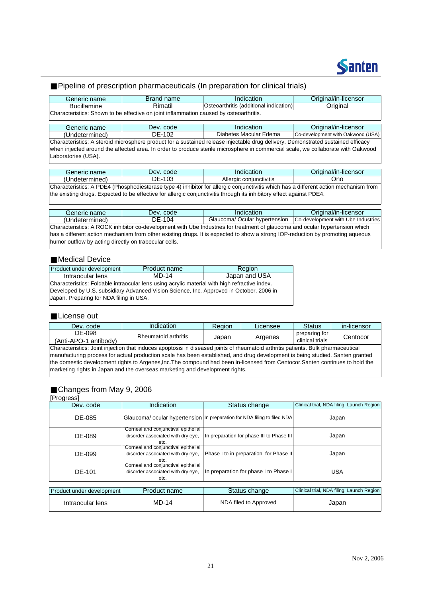

#### Pipeline of prescription pharmaceuticals (In preparation for clinical trials)

| Generic name                                                                           | Brand name | Indication                             | Original/in-licensor |  |  |  |  |
|----------------------------------------------------------------------------------------|------------|----------------------------------------|----------------------|--|--|--|--|
| <b>Bucillamine</b>                                                                     | Rimatil    | Osteoarthritis (additional indication) | Original             |  |  |  |  |
| Characteristics: Shown to be effective on joint inflammation caused by osteoarthritis. |            |                                        |                      |  |  |  |  |

| Generic name                                                                                                                     | Dev. code | Indication             | Original/in-licensor              |  |  |  |  |
|----------------------------------------------------------------------------------------------------------------------------------|-----------|------------------------|-----------------------------------|--|--|--|--|
| (Undetermined)                                                                                                                   | DE-102    | Diabetes Macular Edema | Co-development with Oakwood (USA) |  |  |  |  |
| Characteristics: A steroid microsphere product for a sustained release injectable drug delivery. Demonstrated sustained efficacy |           |                        |                                   |  |  |  |  |
| when injected around the affected area. In order to produce sterile microsphere in commercial scale, we collaborate with Oakwood |           |                        |                                   |  |  |  |  |
| Laboratories (USA).                                                                                                              |           |                        |                                   |  |  |  |  |

| Generic name                                                                                                                         | Dev. code | Indication              | Original/in-licensor |  |  |  |  |
|--------------------------------------------------------------------------------------------------------------------------------------|-----------|-------------------------|----------------------|--|--|--|--|
| (Undetermined).                                                                                                                      | DE-103    | Allergic conjunctivitis | Onc                  |  |  |  |  |
| Characteristics: A PDE4 (Phosphodiesterase type 4) inhibitor for allergic conjunctivitis which has a different action mechanism from |           |                         |                      |  |  |  |  |

Characteristics: A PDE4 (Phosphodiesterase type 4) inhibitor for allergic conjunctivitis which has a different action mechanism from the existing drugs. Expected to be effective for allergic conjunctivitis through its inhibitory effect against PDE4.

| Generic name                                                                                                                   | Dev. code<br>Indication |                               | Original/in-licensor               |  |  |  |
|--------------------------------------------------------------------------------------------------------------------------------|-------------------------|-------------------------------|------------------------------------|--|--|--|
| (Undetermined)                                                                                                                 | DF-104                  | Glaucoma/ Ocular hypertension | Co-development with Ube Industries |  |  |  |
| Characteristics: A ROCK inhibitor co-development with Ube Industries for treatment of glaucoma and ocular hypertension which   |                         |                               |                                    |  |  |  |
| has a different action mechanism from other existing drugs. It is expected to show a strong IOP-reduction by promoting aqueous |                         |                               |                                    |  |  |  |
| humor outflow by acting directly on trabecular cells.                                                                          |                         |                               |                                    |  |  |  |

#### Medical Device

| Product under development                                                                     | Product name | Region |  |  |  |  |
|-----------------------------------------------------------------------------------------------|--------------|--------|--|--|--|--|
| Japan and USA<br>$MD-14$<br>Intraocular lens                                                  |              |        |  |  |  |  |
| Characteristics: Foldable intraocular lens using acrylic material with high refractive index. |              |        |  |  |  |  |
| Developed by U.S. subsidiary Advanced Vision Science, Inc. Approved in October, 2006 in       |              |        |  |  |  |  |
| Japan. Preparing for NDA filing in USA.                                                       |              |        |  |  |  |  |

#### License out

| Dev. code                                                                                                                        | Indication           | Region | Licensee | <b>Status</b>                    | in-licensor |  |
|----------------------------------------------------------------------------------------------------------------------------------|----------------------|--------|----------|----------------------------------|-------------|--|
| DE-098                                                                                                                           | Rheumatoid arthritis | Japan  | Argenes  | preparing for<br>clinical trials | Centocor    |  |
| (Anti-APO-1 antibody)                                                                                                            |                      |        |          |                                  |             |  |
| Characteristics: Joint injection that induces apoptosis in diseased joints of rheumatoid arthritis patients. Bulk pharmaceutical |                      |        |          |                                  |             |  |
| largente de la composició de la capital de la composició de la composición de la capital de la capital Canton maneral            |                      |        |          |                                  |             |  |

manufacturing process for actual production scale has been established, and drug development is being studied. Santen granted the domestic development rights to Argenes,Inc.The compound had been in-licensed from Centocor.Santen continues to hold the marketing rights in Japan and the overseas marketing and development rights.

#### Changes from May 9, 2006

| [Progress]                |                                                                                  |                                                                          |                                           |
|---------------------------|----------------------------------------------------------------------------------|--------------------------------------------------------------------------|-------------------------------------------|
| Dev. code                 | Indication                                                                       | Status change                                                            | Clinical trial, NDA filing, Launch Region |
| DE-085                    |                                                                                  | Glaucoma/ ocular hypertension In preparation for NDA filing to filed NDA | Japan                                     |
| DE-089                    | Corneal and conjunctival epithelial<br>disorder associated with dry eye,<br>etc. | In preparation for phase III to Phase III                                | Japan                                     |
| DE-099                    | Corneal and conjunctival epithelial<br>disorder associated with dry eye,<br>etc. | Phase I to in preparation for Phase II                                   | Japan                                     |
| DE-101                    | Corneal and conjunctival epithelial<br>disorder associated with dry eye,<br>etc. | In preparation for phase I to Phase I                                    | <b>USA</b>                                |
|                           |                                                                                  |                                                                          |                                           |
| Product under development | Product name                                                                     | Status change                                                            | Clinical trial, NDA filing, Launch Region |
| Intraocular lens          | $MD-14$                                                                          | NDA filed to Approved                                                    | Japan                                     |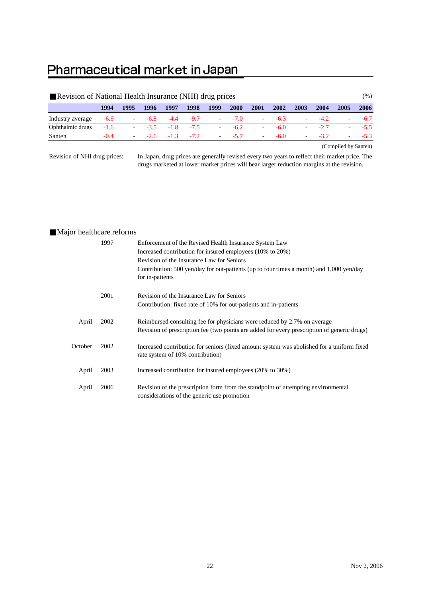### Pharmaceutical market in Japan

| Revision of National Health Insurance (NHI) drug prices |        |                          |        |        |        |                          |        |                          |        |                          |        |                          | $(\%)$ |
|---------------------------------------------------------|--------|--------------------------|--------|--------|--------|--------------------------|--------|--------------------------|--------|--------------------------|--------|--------------------------|--------|
|                                                         | 1994   | 1995                     | 1996   | 1997   | 1998   | 1999                     | 2000   | 2001                     | 2002   | 2003                     | 2004   | 2005                     | 2006   |
| Industry average                                        | $-6.6$ |                          | $-6.8$ | $-4.4$ | $-9.7$ | $\overline{\phantom{a}}$ | $-7.0$ | $\overline{\phantom{a}}$ | $-6.3$ | $\overline{\phantom{0}}$ |        | $\overline{\phantom{0}}$ | $-6.7$ |
| Ophthalmic drugs                                        | $-1.6$ |                          | $-3.5$ | $-1.8$ | $-7.5$ | $\overline{\phantom{a}}$ | $-6.2$ | $\overline{\phantom{a}}$ | $-6.0$ | $\overline{\phantom{0}}$ | $-2.7$ |                          | $-55$  |
| Santen                                                  | $-0.4$ | $\overline{\phantom{0}}$ | $-2.6$ | $-1.3$ | $-7.2$ | $\overline{\phantom{a}}$ | $-57$  | $\overline{\phantom{0}}$ | $-6.0$ | $\overline{\phantom{0}}$ | $-32$  | $\overline{\phantom{0}}$ | $-5.3$ |
| (Compiled by Santen)                                    |        |                          |        |        |        |                          |        |                          |        |                          |        |                          |        |

Revision of NHI drug prices:

In Japan, drug prices are generally revised every two years to reflect their market price. The drugs marketed at lower market prices will bear larger reduction margins at the revision.

#### Major healthcare reforms

|         | 1997 | Enforcement of the Revised Health Insurance System Law<br>Increased contribution for insured employees (10% to 20%)<br>Revision of the Insurance Law for Seniors<br>Contribution: 500 yen/day for out-patients (up to four times a month) and 1,000 yen/day<br>for in-patients |
|---------|------|--------------------------------------------------------------------------------------------------------------------------------------------------------------------------------------------------------------------------------------------------------------------------------|
|         | 2001 | Revision of the Insurance Law for Seniors                                                                                                                                                                                                                                      |
|         |      | Contribution: fixed rate of 10% for out-patients and in-patients                                                                                                                                                                                                               |
| April   | 2002 | Reimbursed consulting fee for physicians were reduced by 2.7% on average<br>Revision of prescription fee (two points are added for every prescription of generic drugs)                                                                                                        |
| October | 2002 | Increased contribution for seniors (fixed amount system was abolished for a uniform fixed<br>rate system of 10% contribution)                                                                                                                                                  |
| April   | 2003 | Increased contribution for insured employees (20% to 30%)                                                                                                                                                                                                                      |
| April   | 2006 | Revision of the prescription form from the standpoint of attempting environmental<br>considerations of the generic use promotion                                                                                                                                               |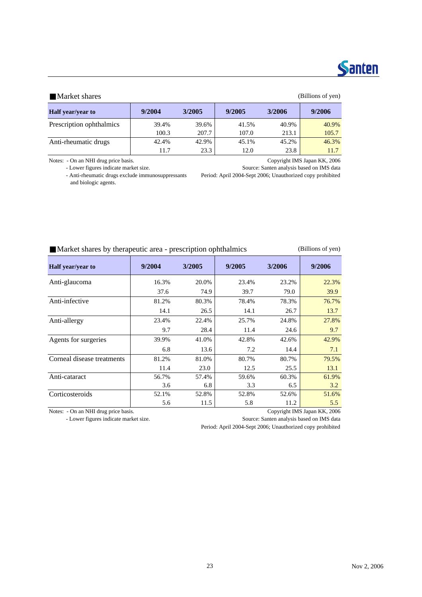## **Santen**

#### Market shares (Billions of yen)

| <b>Half</b> year/year to | 9/2004 | 3/2005 | 9/2005 | 3/2006 | 9/2006 |
|--------------------------|--------|--------|--------|--------|--------|
| Prescription ophthalmics | 39.4%  | 39.6%  | 41.5%  | 40.9%  | 40.9%  |
|                          | 100.3  | 207.7  | 107.0  | 213.1  | 105.7  |
| Anti-rheumatic drugs     | 42.4%  | 42.9%  | 45.1%  | 45.2%  | 46.3%  |
|                          | 11.7   | 23.3   | 12.0   | 23.8   | 11.7   |

Notes: - On an NHI drug price basis. Copyright IMS Japan KK, 2006

 - Anti-rheumatic drugs exclude immunosuppressants Period: April 2004-Sept 2006; Unauthorized copy prohibited and biologic agents.

- Lower figures indicate market size. Source: Santen analysis based on IMS data

#### Market shares by therapeutic area - prescription ophthalmics (Billions of yen)

| Half year/year to          | 9/2004 | 3/2005 | 9/2005 | 3/2006 | 9/2006 |
|----------------------------|--------|--------|--------|--------|--------|
| Anti-glaucoma              | 16.3%  | 20.0%  | 23.4%  | 23.2%  | 22.3%  |
|                            | 37.6   | 74.9   | 39.7   | 79.0   | 39.9   |
| Anti-infective             | 81.2%  | 80.3%  | 78.4%  | 78.3%  | 76.7%  |
|                            | 14.1   | 26.5   | 14.1   | 26.7   | 13.7   |
| Anti-allergy               | 23.4%  | 22.4%  | 25.7%  | 24.8%  | 27.8%  |
|                            | 9.7    | 28.4   | 11.4   | 24.6   | 9.7    |
| Agents for surgeries       | 39.9%  | 41.0%  | 42.8%  | 42.6%  | 42.9%  |
|                            | 6.8    | 13.6   | 7.2    | 14.4   | 7.1    |
| Corneal disease treatments | 81.2%  | 81.0%  | 80.7%  | 80.7%  | 79.5%  |
|                            | 11.4   | 23.0   | 12.5   | 25.5   | 13.1   |
| Anti-cataract              | 56.7%  | 57.4%  | 59.6%  | 60.3%  | 61.9%  |
|                            | 3.6    | 6.8    | 3.3    | 6.5    | 3.2    |
| Corticosteroids            | 52.1%  | 52.8%  | 52.8%  | 52.6%  | 51.6%  |
|                            | 5.6    | 11.5   | 5.8    | 11.2   | 5.5    |

Notes: - On an NHI drug price basis. Copyright IMS Japan KK, 2006

- Lower figures indicate market size. Source: Santen analysis based on IMS data

Period: April 2004-Sept 2006; Unauthorized copy prohibited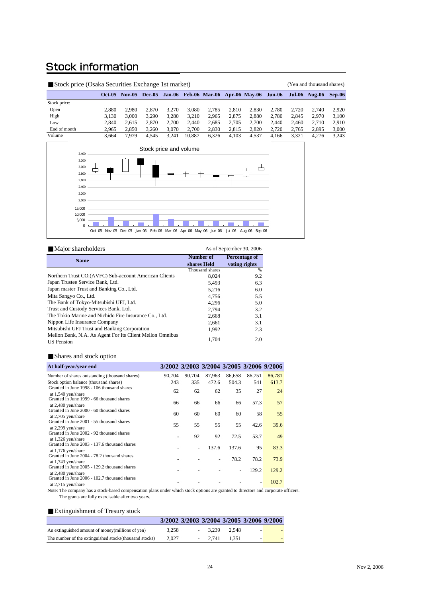### **Stock information**

| Stock price (Osaka Securities Exchange 1st market) |        |          |          |       |        |                                    |       |       |        |               | (Yen and thousand shares) |        |
|----------------------------------------------------|--------|----------|----------|-------|--------|------------------------------------|-------|-------|--------|---------------|---------------------------|--------|
|                                                    | Oct-05 | $Nov-05$ | $Dec-05$ |       |        | Jan-06 Feb-06 Mar-06 Apr-06 May-06 |       |       | Jun-06 | <b>Jul-06</b> | Aug-06                    | Sep-06 |
| Stock price:                                       |        |          |          |       |        |                                    |       |       |        |               |                           |        |
| Open                                               | 2.880  | 2.980    | 2.870    | 3.270 | 3.080  | 2.785                              | 2.810 | 2.830 | 2.780  | 2.720         | 2.740                     | 2.920  |
| High                                               | 3.130  | 3.000    | 3.290    | 3.280 | 3.210  | 2.965                              | 2.875 | 2.880 | 2.780  | 2.845         | 2.970                     | 3,100  |
| Low                                                | 2.840  | 2.615    | 2.870    | 2.700 | 2.440  | 2.685                              | 2.705 | 2.700 | 2.440  | 2.460         | 2.710                     | 2.910  |
| End of month                                       | 2.965  | 2.850    | 3.260    | 3.070 | 2.700  | 2.830                              | 2.815 | 2.820 | 2.720  | 2.765         | 2.895                     | 3,000  |
| Volume                                             | 3.664  | 7.979    | 4.545    | 3.241 | 10.887 | 6.326                              | 4.103 | 4.537 | 4.166  | 3.321         | 4.276                     | 3.243  |



| Major shareholders                                                            | As of September 30, 2006 |               |  |  |  |  |
|-------------------------------------------------------------------------------|--------------------------|---------------|--|--|--|--|
| <b>Name</b>                                                                   | Number of                | Percentage of |  |  |  |  |
|                                                                               | shares Held              | voting rights |  |  |  |  |
|                                                                               | Thousand shares          | $\%$          |  |  |  |  |
| Northern Trust CO. (AVFC) Sub-account American Clients                        | 8,024                    | 9.2           |  |  |  |  |
| Japan Trustee Service Bank, Ltd.                                              | 5,493                    | 6.3           |  |  |  |  |
| Japan master Trust and Banking Co., Ltd.                                      | 5,216                    | 6.0           |  |  |  |  |
| Mita Sangyo Co., Ltd.                                                         | 4,756                    | 5.5           |  |  |  |  |
| The Bank of Tokyo-Mitsubishi UFJ, Ltd.                                        | 4.296                    | 5.0           |  |  |  |  |
| Trust and Custody Services Bank, Ltd.                                         | 2,794                    | 3.2           |  |  |  |  |
| The Tokio Marine and Nichido Fire Insurance Co., Ltd.                         | 2,668                    | 3.1           |  |  |  |  |
| Nippon Life Insurance Company                                                 | 2,661                    | 3.1           |  |  |  |  |
| Mitsubishi UFJ Trust and Banking Corporation                                  | 1,992                    | 2.3           |  |  |  |  |
| Mellon Bank, N.A. As Agent For Its Client Mellon Omnibus<br><b>US</b> Pension | 1.704                    | 2.0           |  |  |  |  |

#### Shares and stock option

| At half-year/year end                                              |        |        |        |        |        | 3/2002 3/2003 3/2004 3/2005 3/2006 9/2006 |
|--------------------------------------------------------------------|--------|--------|--------|--------|--------|-------------------------------------------|
| Number of shares outstanding (thousand shares)                     | 90,704 | 90,704 | 87,963 | 86,658 | 86,751 | 86,781                                    |
| Stock option balance (thousand shares)                             | 243    | 335    | 472.6  | 504.3  | 541    | 613.7                                     |
| Granted in June 1998 - 106 thousand shares<br>at 1,540 yen/share   | 62     | 62     | 62     | 35     | 27     | 24                                        |
| Granted in June 1999 - 66 thousand shares<br>at 2,480 yen/share    | 66     | 66     | 66     | 66     | 57.3   | 57                                        |
| Granted in June 2000 - 60 thousand shares<br>at 2,705 yen/share    | 60     | 60     | 60     | 60     | 58     | 55                                        |
| Granted in June 2001 - 55 thousand shares<br>at 2,299 yen/share    | 55     | 55     | 55     | 55     | 42.6   | 39.6                                      |
| Granted in June 2002 - 92 thousand shares<br>at 1,326 yen/share    |        | 92     | 92     | 72.5   | 53.7   | 49                                        |
| Granted in June 2003 - 137.6 thousand shares<br>at 1,176 yen/share |        |        | 137.6  | 137.6  | 95     | 83.3                                      |
| Granted in June 2004 - 78.2 thousand shares<br>at 1,743 yen/share  |        |        | ۰      | 78.2   | 78.2   | 73.9                                      |
| Granted in June 2005 - 129.2 thousand shares<br>at 2,480 yen/share |        |        |        |        | 129.2  | 129.2                                     |
| Granted in June 2006 - 102.7 thousand shares<br>at 2,715 yen/share |        |        |        |        |        | 102.7                                     |

Note: The company has a stock-based compensation plans under which stock options are granted to directors and corporate officers. The grants are fully exercisable after two years.

#### Extinguishment of Tresury stock

|                                                         |       |          |       |   | 3/2002 3/2003 3/2004 3/2005 3/2006 9/2006 |
|---------------------------------------------------------|-------|----------|-------|---|-------------------------------------------|
| An extinguished amount of money (millions of yen)       | 3.258 | $-3.239$ | 2.548 | - |                                           |
| The number of the extinguished stocks (thousand stocks) | 2.027 | $-2.741$ | 1.351 | - |                                           |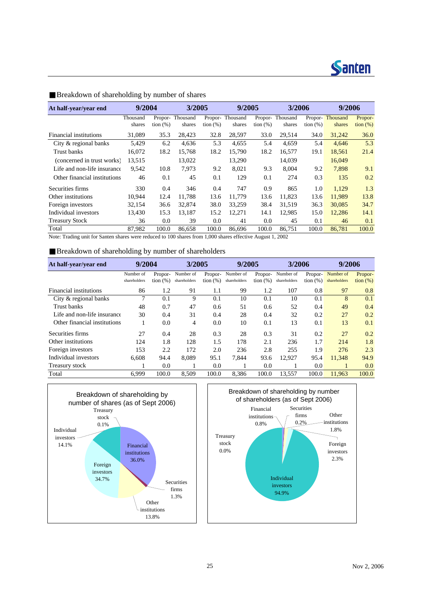

| At half-year/year end        | 9/2004             |                        | 3/2005             |             | 9/2005                    |             | 3/2006                    |                        | 9/2006             |                        |
|------------------------------|--------------------|------------------------|--------------------|-------------|---------------------------|-------------|---------------------------|------------------------|--------------------|------------------------|
|                              | Thousand<br>shares | Propor-<br>tion $(\%)$ | Thousand<br>shares | tion $(\%)$ | Propor-Thousand<br>shares | tion $(\%)$ | Propor-Thousand<br>shares | Propor-<br>tion $(\%)$ | Thousand<br>shares | Propor-<br>tion $(\%)$ |
| Financial institutions       | 31,089             | 35.3                   | 28.423             | 32.8        | 28,597                    | 33.0        | 29,514                    | 34.0                   | 31,242             | 36.0                   |
| City & regional banks        | 5,429              | 6.2                    | 4,636              | 5.3         | 4,655                     | 5.4         | 4,659                     | 5.4                    | 4,646              | 5.3                    |
| Trust banks                  | 16.072             | 18.2                   | 15.768             | 18.2        | 15.790                    | 18.2        | 16.577                    | 19.1                   | 18.561             | 21.4                   |
| (concerned in trust works)   | 13,515             |                        | 13,022             |             | 13,290                    |             | 14,039                    |                        | 16,049             |                        |
| Life and non-life insurance  | 9,542              | 10.8                   | 7.973              | 9.2         | 8,021                     | 9.3         | 8,004                     | 9.2                    | 7,898              | 9.1                    |
| Other financial institutions | 46                 | 0.1                    | 45                 | 0.1         | 129                       | 0.1         | 274                       | 0.3                    | 135                | 0.2                    |
| Securities firms             | 330                | 0.4                    | 346                | 0.4         | 747                       | 0.9         | 865                       | 1.0                    | 1,129              | 1.3                    |
| Other institutions           | 10.944             | 12.4                   | 11.788             | 13.6        | 11,779                    | 13.6        | 11,823                    | 13.6                   | 11.989             | 13.8                   |
| Foreign investors            | 32,154             | 36.6                   | 32,874             | 38.0        | 33,259                    | 38.4        | 31,519                    | 36.3                   | 30,085             | 34.7                   |
| Individual investors         | 13,430             | 15.3                   | 13.187             | 15.2        | 12.271                    | 14.1        | 12,985                    | 15.0                   | 12,286             | 14.1                   |
| <b>Treasury Stock</b>        | 36                 | 0.0                    | 39                 | 0.0         | 41                        | 0.0         | 45                        | 0.1                    | 46                 | 0.1                    |
| Total                        | 87,982             | 100.0                  | 86.658             | 100.0       | 86.696                    | 100.0       | 86.751                    | 100.0                  | 86.781             | 100.0                  |

Breakdown of shareholding by number of shares

Note: Trading unit for Santen shares were reduced to 100 shares from 1,000 shares effective August 1, 2002

#### Breakdown of shareholding by number of shareholders

| At half-year/year end        | 9/2004       |             | 3/2005       |             | 9/2005       |             | 3/2006       |             | 9/2006       |             |
|------------------------------|--------------|-------------|--------------|-------------|--------------|-------------|--------------|-------------|--------------|-------------|
|                              | Number of    | Propor-     | Number of    | Propor-     | Number of    | Propor-     | Number of    | Propor-     | Number of    | Propor-     |
|                              | shareholders | tion $(\%)$ | shareholders | tion $(\%)$ | shareholders | tion $(\%)$ | shareholders | tion $(\%)$ | shareholders | tion $(\%)$ |
| Financial institutions       | 86           | 1.2         | 91           | 1.1         | 99           | 1.2         | 107          | 0.8         | 97           | 0.8         |
| City & regional banks        | 7            | 0.1         | 9            | 0.1         | 10           | 0.1         | 10           | 0.1         | 8            | 0.1         |
| Trust banks                  | 48           | 0.7         | 47           | 0.6         | 51           | 0.6         | 52           | 0.4         | 49           | 0.4         |
| Life and non-life insurance  | 30           | 0.4         | 31           | 0.4         | 28           | 0.4         | 32           | 0.2         | 27           | 0.2         |
| Other financial institutions |              | 0.0         | 4            | 0.0         | 10           | 0.1         | 13           | 0.1         | 13           | 0.1         |
| Securities firms             | 27           | 0.4         | 28           | 0.3         | 28           | 0.3         | 31           | 0.2         | 27           | 0.2         |
| Other institutions           | 124          | 1.8         | 128          | 1.5         | 178          | 2.1         | 236          | 1.7         | 214          | 1.8         |
| Foreign investors            | 153          | 2.2         | 172          | 2.0         | 236          | 2.8         | 255          | 1.9         | 276          | 2.3         |
| Individual investors         | 6.608        | 94.4        | 8.089        | 95.1        | 7.844        | 93.6        | 12.927       | 95.4        | 11.348       | 94.9        |
| Treasury stock               |              | 0.0         |              | 0.0         |              | 0.0         |              | 0.0         |              | 0.0         |
| Total                        | 6,999        | 100.0       | 8,509        | 100.0       | 8,386        | 100.0       | 13,557       | 100.0       | 11,963       | 100.0       |



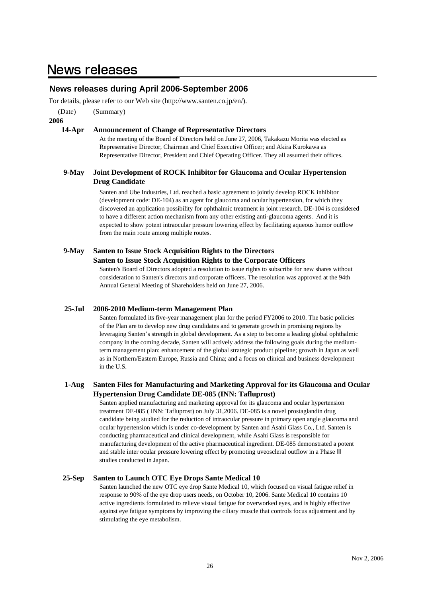### **News releases**

#### **News releases during April 2006-September 2006**

For details, please refer to our Web site (http://www.santen.co.jp/en/).

(Date) (Summary)

**2006**

#### **14-Apr Announcement of Change of Representative Directors**

At the meeting of the Board of Directors held on June 27, 2006, Takakazu Morita was elected as Representative Director, Chairman and Chief Executive Officer; and Akira Kurokawa as Representative Director, President and Chief Operating Officer. They all assumed their offices.

#### **9-May Joint Development of ROCK Inhibitor for Glaucoma and Ocular Hypertension Drug Candidate**

Santen and Ube Industries, Ltd. reached a basic agreement to jointly develop ROCK inhibitor (development code: DE-104) as an agent for glaucoma and ocular hypertension, for which they discovered an application possibility for ophthalmic treatment in joint research. DE-104 is considered to have a different action mechanism from any other existing anti-glaucoma agents. And it is expected to show potent intraocular pressure lowering effect by facilitating aqueous humor outflow from the main route among multiple routes.

#### **9-May Santen to Issue Stock Acquisition Rights to the Directors**

#### **Santen to Issue Stock Acquisition Rights to the Corporate Officers**

Santen's Board of Directors adopted a resolution to issue rights to subscribe for new shares without consideration to Santen's directors and corporate officers. The resolution was approved at the 94th Annual General Meeting of Shareholders held on June 27, 2006.

#### **25-Jul 2006-2010 Medium-term Management Plan**

Santen formulated its five-year management plan for the period FY2006 to 2010. The basic policies of the Plan are to develop new drug candidates and to generate growth in promising regions by leveraging Santen's strength in global development. As a step to become a leading global ophthalmic company in the coming decade, Santen will actively address the following goals during the mediumterm management plan: enhancement of the global strategic product pipeline; growth in Japan as well as in Northern/Eastern Europe, Russia and China; and a focus on clinical and business development in the U.S.

#### **1-Aug Santen Files for Manufacturing and Marketing Approval for its Glaucoma and Ocular Hypertension Drug Candidate DE-085 (INN: Tafluprost)**

Santen applied manufacturing and marketing approval for its glaucoma and ocular hypertension treatment DE-085 ( INN: Tafluprost) on July 31,2006. DE-085 is a novel prostaglandin drug candidate being studied for the reduction of intraocular pressure in primary open angle glaucoma and ocular hypertension which is under co-development by Santen and Asahi Glass Co., Ltd. Santen is conducting pharmaceutical and clinical development, while Asahi Glass is responsible for manufacturing development of the active pharmaceutical ingredient. DE-085 demonstrated a potent and stable inter ocular pressure lowering effect by promoting uveoscleral outflow in a Phase studies conducted in Japan.

#### **25-Sep Santen to Launch OTC Eye Drops Sante Medical 10**

Santen launched the new OTC eye drop Sante Medical 10, which focused on visual fatigue relief in response to 90% of the eye drop users needs, on October 10, 2006. Sante Medical 10 contains 10 active ingredients formulated to relieve visual fatigue for overworked eyes, and is highly effective against eye fatigue symptoms by improving the ciliary muscle that controls focus adjustment and by stimulating the eye metabolism.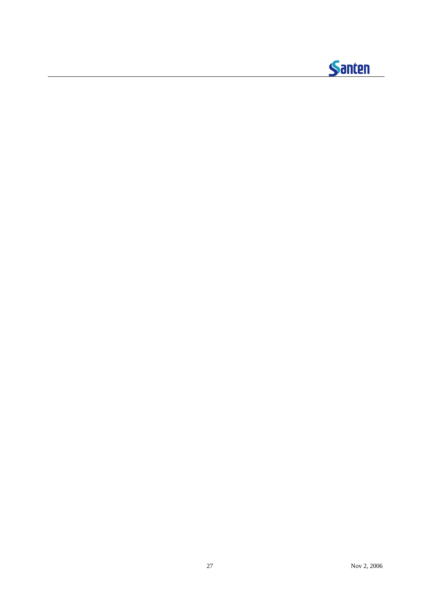